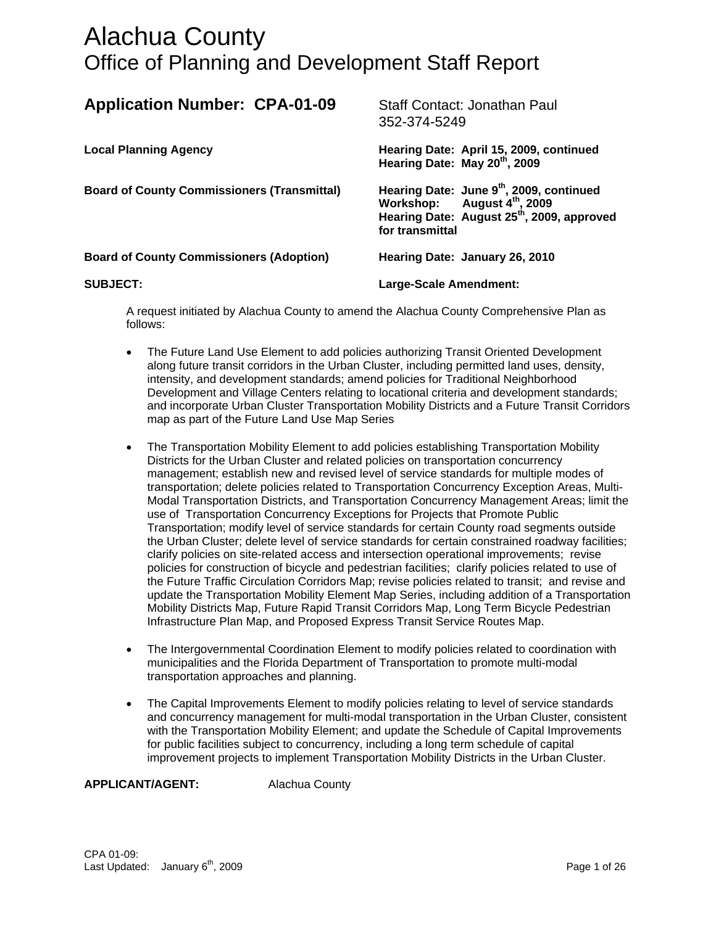| <b>Application Number: CPA-01-09</b>               | Staff Contact: Jonathan Paul<br>352-374-5249                                                                                                                                 |  |
|----------------------------------------------------|------------------------------------------------------------------------------------------------------------------------------------------------------------------------------|--|
| <b>Local Planning Agency</b>                       | Hearing Date: April 15, 2009, continued<br>Hearing Date: May 20 <sup>th</sup> , 2009                                                                                         |  |
| <b>Board of County Commissioners (Transmittal)</b> | Hearing Date: June 9 <sup>th</sup> , 2009, continued<br>Workshop: August 4 <sup>th</sup> , 2009<br>Hearing Date: August 25 <sup>th</sup> , 2009, approved<br>for transmittal |  |
| <b>Board of County Commissioners (Adoption)</b>    | Hearing Date: January 26, 2010                                                                                                                                               |  |
| <b>SUBJECT:</b>                                    | Large-Scale Amendment:                                                                                                                                                       |  |

A request initiated by Alachua County to amend the Alachua County Comprehensive Plan as follows:

- The Future Land Use Element to add policies authorizing Transit Oriented Development along future transit corridors in the Urban Cluster, including permitted land uses, density, intensity, and development standards; amend policies for Traditional Neighborhood Development and Village Centers relating to locational criteria and development standards; and incorporate Urban Cluster Transportation Mobility Districts and a Future Transit Corridors map as part of the Future Land Use Map Series
- The Transportation Mobility Element to add policies establishing Transportation Mobility Districts for the Urban Cluster and related policies on transportation concurrency management; establish new and revised level of service standards for multiple modes of transportation; delete policies related to Transportation Concurrency Exception Areas, Multi-Modal Transportation Districts, and Transportation Concurrency Management Areas; limit the use of Transportation Concurrency Exceptions for Projects that Promote Public Transportation; modify level of service standards for certain County road segments outside the Urban Cluster; delete level of service standards for certain constrained roadway facilities; clarify policies on site-related access and intersection operational improvements; revise policies for construction of bicycle and pedestrian facilities; clarify policies related to use of the Future Traffic Circulation Corridors Map; revise policies related to transit; and revise and update the Transportation Mobility Element Map Series, including addition of a Transportation Mobility Districts Map, Future Rapid Transit Corridors Map, Long Term Bicycle Pedestrian Infrastructure Plan Map, and Proposed Express Transit Service Routes Map.
- The Intergovernmental Coordination Element to modify policies related to coordination with municipalities and the Florida Department of Transportation to promote multi-modal transportation approaches and planning.
- The Capital Improvements Element to modify policies relating to level of service standards and concurrency management for multi-modal transportation in the Urban Cluster, consistent with the Transportation Mobility Element; and update the Schedule of Capital Improvements for public facilities subject to concurrency, including a long term schedule of capital improvement projects to implement Transportation Mobility Districts in the Urban Cluster.

**APPLICANT/AGENT:** Alachua County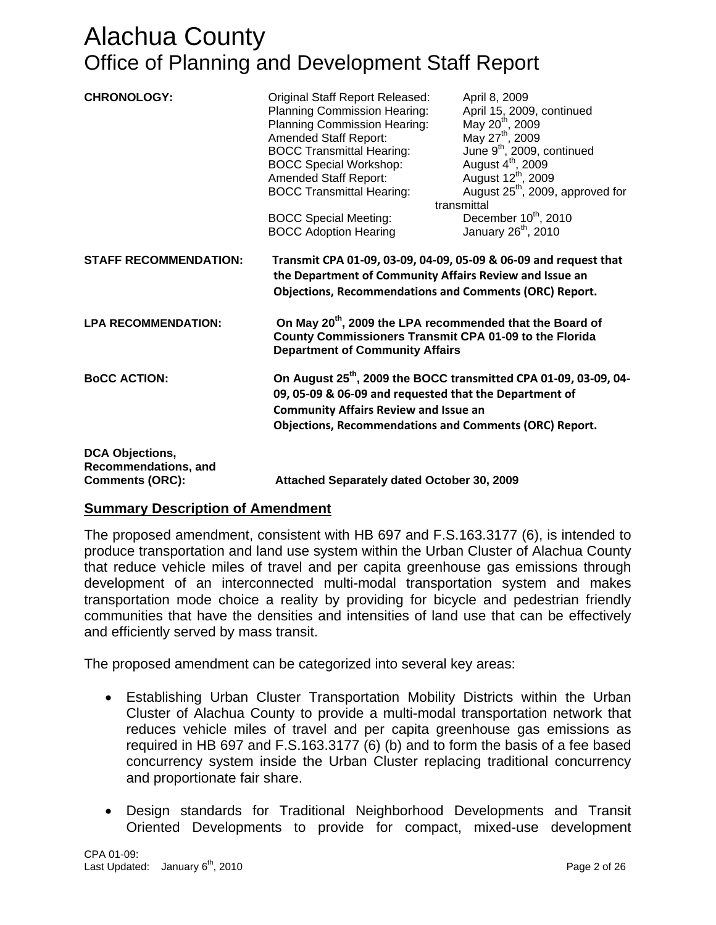| <b>CHRONOLOGY:</b>                                                       | Original Staff Report Released:<br>Planning Commission Hearing:<br>Planning Commission Hearing:<br>Amended Staff Report:<br><b>BOCC Transmittal Hearing:</b><br><b>BOCC Special Workshop:</b><br>Amended Staff Report:<br><b>BOCC Transmittal Hearing:</b><br><b>BOCC Special Meeting:</b>                                                                               | April 8, 2009<br>April 15, 2009, continued<br>May 20 <sup>th</sup> , 2009<br>May 27 <sup>th</sup> , 2009<br>June 9 <sup>th</sup> , 2009, continued<br>August $4^{\text{th}}$ , 2009<br>August 12 <sup>th</sup> , 2009<br>August 25 <sup>th</sup> , 2009, approved for<br>transmittal<br>December 10 <sup>th</sup> , 2010 |  |
|--------------------------------------------------------------------------|--------------------------------------------------------------------------------------------------------------------------------------------------------------------------------------------------------------------------------------------------------------------------------------------------------------------------------------------------------------------------|--------------------------------------------------------------------------------------------------------------------------------------------------------------------------------------------------------------------------------------------------------------------------------------------------------------------------|--|
|                                                                          | <b>BOCC Adoption Hearing</b>                                                                                                                                                                                                                                                                                                                                             | January 26 <sup>th</sup> , 2010                                                                                                                                                                                                                                                                                          |  |
| <b>STAFF RECOMMENDATION:</b><br><b>LPA RECOMMENDATION:</b>               | Transmit CPA 01-09, 03-09, 04-09, 05-09 & 06-09 and request that<br>the Department of Community Affairs Review and Issue an<br><b>Objections, Recommendations and Comments (ORC) Report.</b><br>On May 20 <sup>th</sup> , 2009 the LPA recommended that the Board of<br>County Commissioners Transmit CPA 01-09 to the Florida<br><b>Department of Community Affairs</b> |                                                                                                                                                                                                                                                                                                                          |  |
| <b>BoCC ACTION:</b>                                                      | 09, 05-09 & 06-09 and requested that the Department of<br><b>Community Affairs Review and Issue an</b><br><b>Objections, Recommendations and Comments (ORC) Report.</b>                                                                                                                                                                                                  | On August 25 <sup>th</sup> , 2009 the BOCC transmitted CPA 01-09, 03-09, 04-                                                                                                                                                                                                                                             |  |
| <b>DCA Objections,</b><br>Recommendations, and<br><b>Comments (ORC):</b> | Attached Separately dated October 30, 2009                                                                                                                                                                                                                                                                                                                               |                                                                                                                                                                                                                                                                                                                          |  |

### **Summary Description of Amendment**

The proposed amendment, consistent with HB 697 and F.S.163.3177 (6), is intended to produce transportation and land use system within the Urban Cluster of Alachua County that reduce vehicle miles of travel and per capita greenhouse gas emissions through development of an interconnected multi-modal transportation system and makes transportation mode choice a reality by providing for bicycle and pedestrian friendly communities that have the densities and intensities of land use that can be effectively and efficiently served by mass transit.

The proposed amendment can be categorized into several key areas:

- Establishing Urban Cluster Transportation Mobility Districts within the Urban Cluster of Alachua County to provide a multi-modal transportation network that reduces vehicle miles of travel and per capita greenhouse gas emissions as required in HB 697 and F.S.163.3177 (6) (b) and to form the basis of a fee based concurrency system inside the Urban Cluster replacing traditional concurrency and proportionate fair share.
- Design standards for Traditional Neighborhood Developments and Transit Oriented Developments to provide for compact, mixed-use development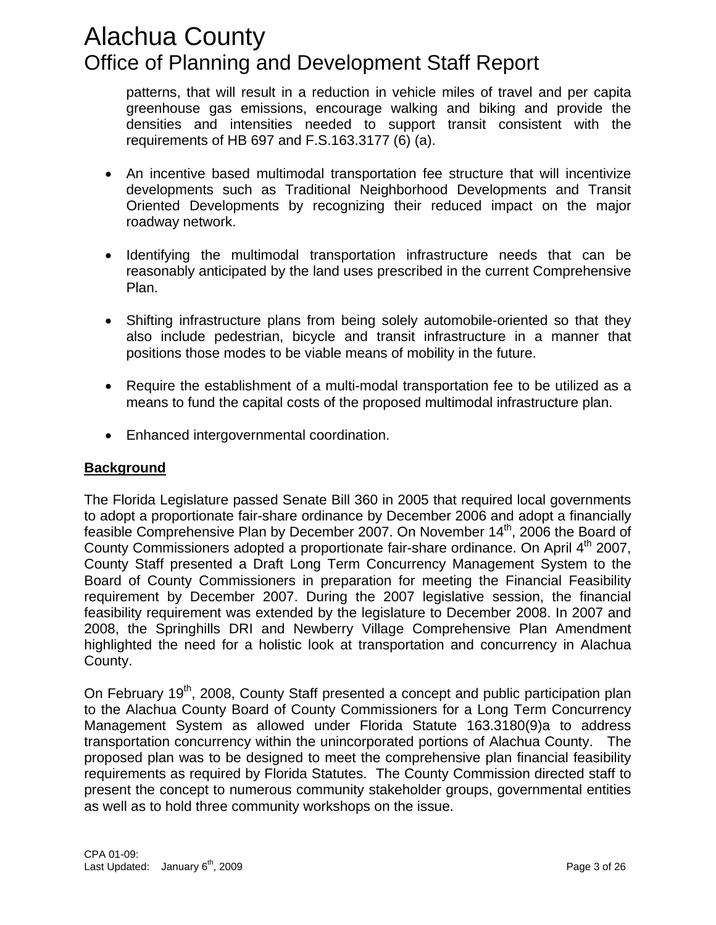patterns, that will result in a reduction in vehicle miles of travel and per capita greenhouse gas emissions, encourage walking and biking and provide the densities and intensities needed to support transit consistent with the requirements of HB 697 and F.S.163.3177 (6) (a).

- An incentive based multimodal transportation fee structure that will incentivize developments such as Traditional Neighborhood Developments and Transit Oriented Developments by recognizing their reduced impact on the major roadway network.
- Identifying the multimodal transportation infrastructure needs that can be reasonably anticipated by the land uses prescribed in the current Comprehensive Plan.
- Shifting infrastructure plans from being solely automobile-oriented so that they also include pedestrian, bicycle and transit infrastructure in a manner that positions those modes to be viable means of mobility in the future.
- Require the establishment of a multi-modal transportation fee to be utilized as a means to fund the capital costs of the proposed multimodal infrastructure plan.
- Enhanced intergovernmental coordination.

### **Background**

The Florida Legislature passed Senate Bill 360 in 2005 that required local governments to adopt a proportionate fair-share ordinance by December 2006 and adopt a financially feasible Comprehensive Plan by December 2007. On November 14<sup>th</sup>, 2006 the Board of County Commissioners adopted a proportionate fair-share ordinance. On April 4<sup>th</sup> 2007, County Staff presented a Draft Long Term Concurrency Management System to the Board of County Commissioners in preparation for meeting the Financial Feasibility requirement by December 2007. During the 2007 legislative session, the financial feasibility requirement was extended by the legislature to December 2008. In 2007 and 2008, the Springhills DRI and Newberry Village Comprehensive Plan Amendment highlighted the need for a holistic look at transportation and concurrency in Alachua County.

On February 19<sup>th</sup>, 2008, County Staff presented a concept and public participation plan to the Alachua County Board of County Commissioners for a Long Term Concurrency Management System as allowed under Florida Statute 163.3180(9)a to address transportation concurrency within the unincorporated portions of Alachua County. The proposed plan was to be designed to meet the comprehensive plan financial feasibility requirements as required by Florida Statutes. The County Commission directed staff to present the concept to numerous community stakeholder groups, governmental entities as well as to hold three community workshops on the issue.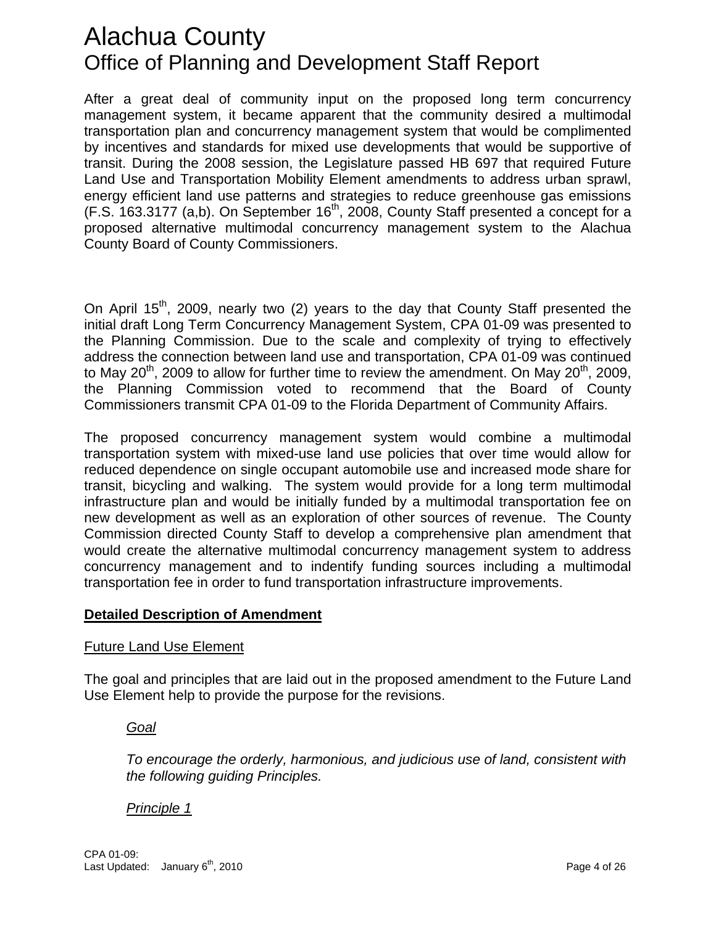After a great deal of community input on the proposed long term concurrency management system, it became apparent that the community desired a multimodal transportation plan and concurrency management system that would be complimented by incentives and standards for mixed use developments that would be supportive of transit. During the 2008 session, the Legislature passed HB 697 that required Future Land Use and Transportation Mobility Element amendments to address urban sprawl, energy efficient land use patterns and strategies to reduce greenhouse gas emissions  $(F.S. 163.3177$  (a,b). On September  $16<sup>th</sup>$ , 2008, County Staff presented a concept for a proposed alternative multimodal concurrency management system to the Alachua County Board of County Commissioners.

On April 15<sup>th</sup>, 2009, nearly two (2) years to the day that County Staff presented the initial draft Long Term Concurrency Management System, CPA 01-09 was presented to the Planning Commission. Due to the scale and complexity of trying to effectively address the connection between land use and transportation, CPA 01-09 was continued to May 20<sup>th</sup>, 2009 to allow for further time to review the amendment. On May 20<sup>th</sup>, 2009, the Planning Commission voted to recommend that the Board of County Commissioners transmit CPA 01-09 to the Florida Department of Community Affairs.

he proposed concurrency management system would combine a multimodal T transportation system with mixed-use land use policies that over time would allow for reduced dependence on single occupant automobile use and increased mode share for transit, bicycling and walking. The system would provide for a long term multimodal infrastructure plan and would be initially funded by a multimodal transportation fee on new development as well as an exploration of other sources of revenue. The County Commission directed County Staff to develop a comprehensive plan amendment that would create the alternative multimodal concurrency management system to address concurrency management and to indentify funding sources including a multimodal transportation fee in order to fund transportation infrastructure improvements.

### **Detailed Description of Amendment**

### Future Land Use Element

The goal and principles that are laid out in the proposed amendment to the Future Land Use Element help to provide the purpose for the revisions.

### *Goal*

To encourage the orderly, harmonious, and judicious use of land, consistent with *the following guiding Principles.* 

### *Principle 1*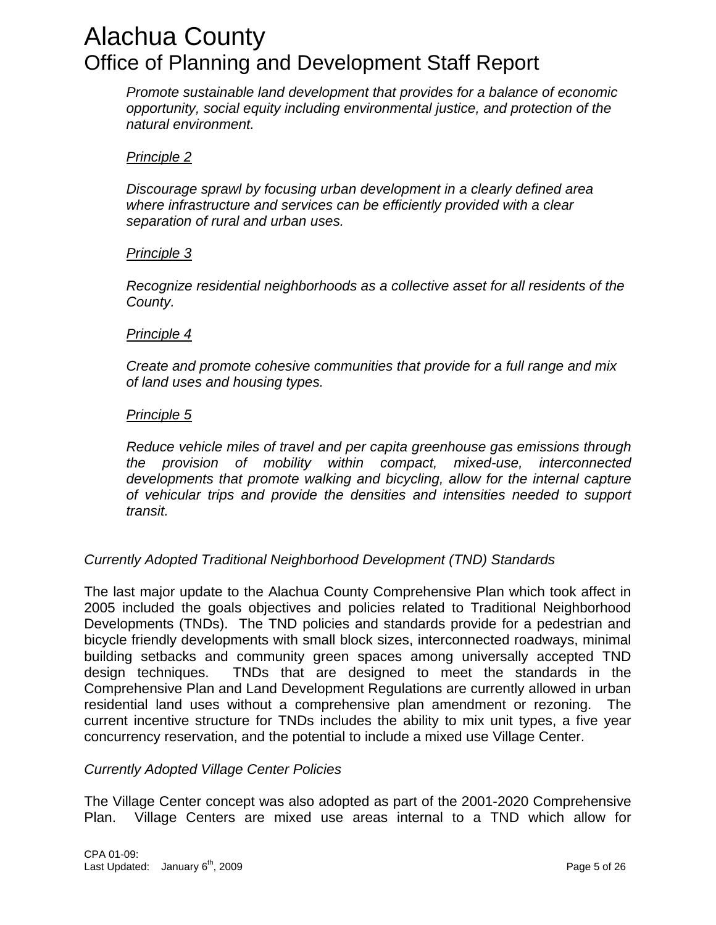*Promote sustainable land development that provides for a balance of economic opportunity, social equity including environmental justice, and protection of the natural environment.* 

### *rinciple 2 P*

Discourage sprawl by focusing urban development in a clearly defined area *where infrastructure and services can be efficiently provided with a clear separation of rural and urban uses.* 

### *Principle 3*

*ecognize residential neighborhoods as a collective asset for all residents of the R County.* 

### *Principle 4*

Create and promote cohesive communities that provide for a full range and mix *of land uses and housing types.* 

### *Principle 5*

Reduce vehicle miles of travel and per capita greenhouse gas emissions through *the provision of mobility within compact, mixed-use, interconnected developments that promote walking and bicycling, allow for the internal capture of vehicular trips and provide the densities and intensities needed to support transit.* 

### **Currently Adopted Traditional Neighborhood Development (TND) Standards**

The last major update to the Alachua County Comprehensive Plan which took affect in 2005 included the goals objectives and policies related to Traditional Neighborhood Developments (TNDs). The TND policies and standards provide for a pedestrian and bicycle friendly developments with small block sizes, interconnected roadways, minimal building setbacks and community green spaces among universally accepted TND design techniques. TNDs that are designed to meet the standards in the Comprehensive Plan and Land Development Regulations are currently allowed in urban residential land uses without a comprehensive plan amendment or rezoning. The current incentive structure for TNDs includes the ability to mix unit types, a five year concurrency reservation, and the potential to include a mixed use Village Center.

### **Currently Adopted Village Center Policies**

The Village Center concept was also adopted as part of the 2001-2020 Comprehensive Plan. Village Centers are mixed use areas internal to a TND which allow for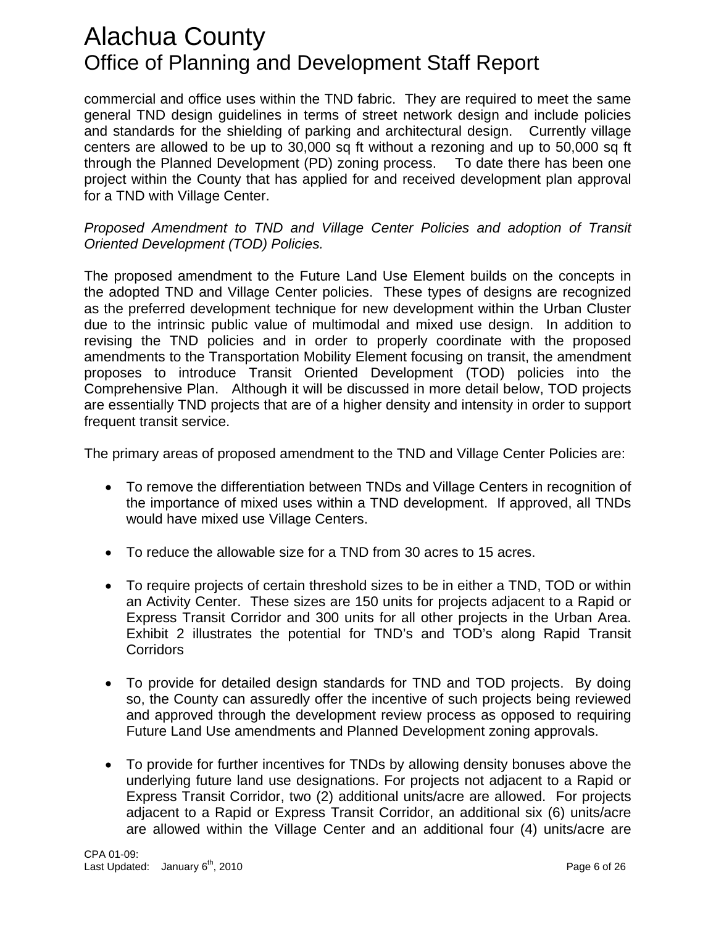commercial and office uses within the TND fabric. They are required to meet the same general TND design guidelines in terms of street network design and include policies and standards for the shielding of parking and architectural design. Currently village centers are allowed to be up to 30,000 sq ft without a rezoning and up to 50,000 sq ft through the Planned Development (PD) zoning process. To date there has been one project within the County that has applied for and received development plan approval for a TND with Village Center.

### Proposed Amendment to TND and Village Center Policies and adoption of Transit *Oriented Development (TOD) Policies.*

The proposed amendment to the Future Land Use Element builds on the concepts in the adopted TND and Village Center policies. These types of designs are recognized as the preferred development technique for new development within the Urban Cluster due to the intrinsic public value of multimodal and mixed use design. In addition to revising the TND policies and in order to properly coordinate with the proposed amendments to the Transportation Mobility Element focusing on transit, the amendment proposes to introduce Transit Oriented Development (TOD) policies into the Comprehensive Plan. Although it will be discussed in more detail below, TOD projects are essentially TND projects that are of a higher density and intensity in order to support frequent transit service.

The primary areas of proposed amendment to the TND and Village Center Policies are:

- To remove the differentiation between TNDs and Village Centers in recognition of the importance of mixed uses within a TND development. If approved, all TNDs would have mixed use Village Centers.
- To reduce the allowable size for a TND from 30 acres to 15 acres.
- To require projects of certain threshold sizes to be in either a TND, TOD or within an Activity Center. These sizes are 150 units for projects adjacent to a Rapid or Express Transit Corridor and 300 units for all other projects in the Urban Area. Exhibit 2 illustrates the potential for TND's and TOD's along Rapid Transit **Corridors**
- To provide for detailed design standards for TND and TOD projects. By doing so, the County can assuredly offer the incentive of such projects being reviewed and approved through the development review process as opposed to requiring Future Land Use amendments and Planned Development zoning approvals.
- To provide for further incentives for TNDs by allowing density bonuses above the underlying future land use designations. For projects not adjacent to a Rapid or Express Transit Corridor, two (2) additional units/acre are allowed. For projects adjacent to a Rapid or Express Transit Corridor, an additional six (6) units/acre are allowed within the Village Center and an additional four (4) units/acre are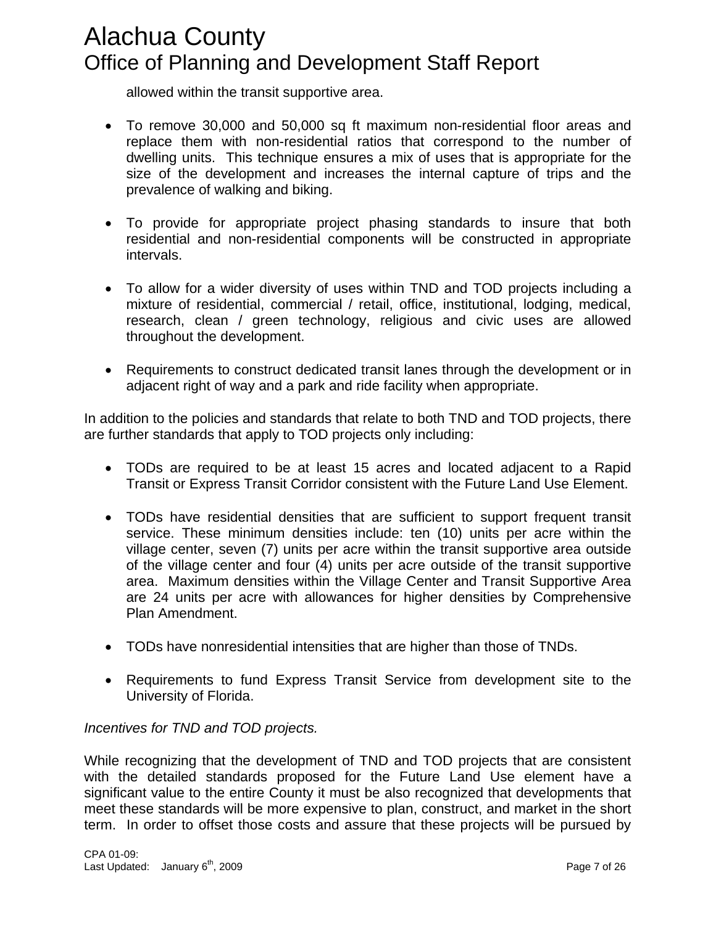allowed within the transit supportive area.

- To remove 30,000 and 50,000 sq ft maximum non-residential floor areas and replace them with non-residential ratios that correspond to the number of dwelling units. This technique ensures a mix of uses that is appropriate for the size of the development and increases the internal capture of trips and the prevalence of walking and biking.
- To provide for appropriate project phasing standards to insure that both residential and non-residential components will be constructed in appropriate intervals.
- To allow for a wider diversity of uses within TND and TOD projects including a mixture of residential, commercial / retail, office, institutional, lodging, medical, research, clean / green technology, religious and civic uses are allowed throughout the development.
- Requirements to construct dedicated transit lanes through the development or in adjacent right of way and a park and ride facility when appropriate.

In addition to the policies and standards that relate to both TND and TOD projects, there are further standards that apply to TOD projects only including:

- TODs are required to be at least 15 acres and located adjacent to a Rapid Transit or Express Transit Corridor consistent with the Future Land Use Element.
- TODs have residential densities that are sufficient to support frequent transit service. These minimum densities include: ten (10) units per acre within the village center, seven (7) units per acre within the transit supportive area outside of the village center and four (4) units per acre outside of the transit supportive area. Maximum densities within the Village Center and Transit Supportive Area are 24 units per acre with allowances for higher densities by Comprehensive Plan Amendment.
- TODs have nonresidential intensities that are higher than those of TNDs. •
- Requirements to fund Express Transit Service from development site to the University of Florida.

### **Incentives for TND and TOD projects.**

While recognizing that the development of TND and TOD projects that are consistent with the detailed standards proposed for the Future Land Use element have a significant value to the entire County it must be also recognized that developments that meet these standards will be more expensive to plan, construct, and market in the short term. In order to offset those costs and assure that these projects will be pursued by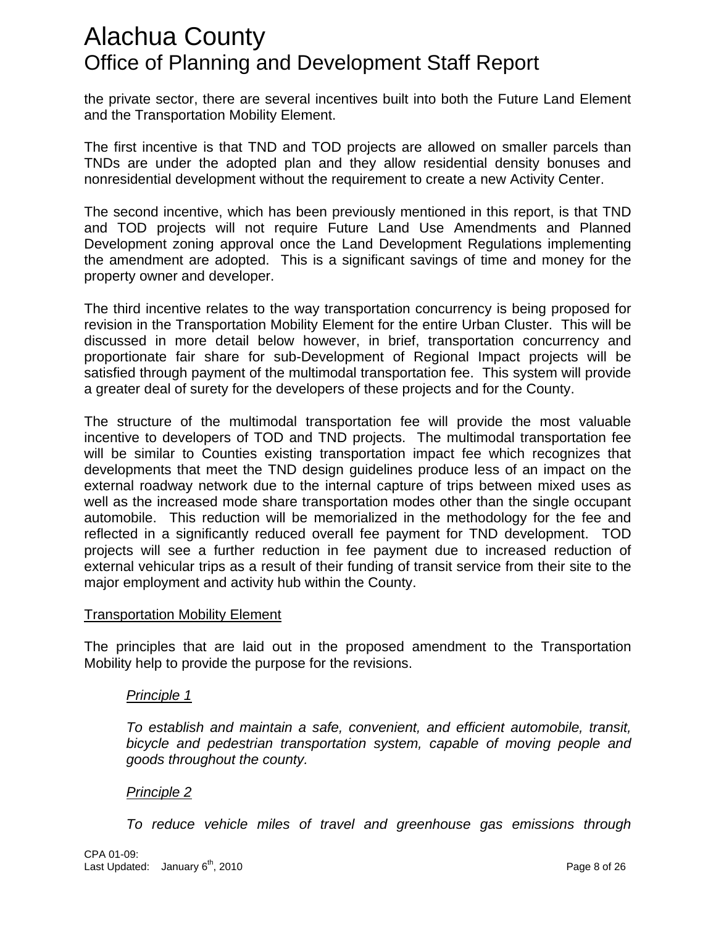the private sector, there are several incentives built into both the Future Land Element and the Transportation Mobility Element.

The first incentive is that TND and TOD projects are allowed on smaller parcels than TNDs are under the adopted plan and they allow residential density bonuses and nonresidential development without the requirement to create a new Activity Center.

The second incentive, which has been previously mentioned in this report, is that TND and TOD projects will not require Future Land Use Amendments and Planned Development zoning approval once the Land Development Regulations implementing the amendment are adopted. This is a significant savings of time and money for the property owner and developer.

The third incentive relates to the way transportation concurrency is being proposed for revision in the Transportation Mobility Element for the entire Urban Cluster. This will be discussed in more detail below however, in brief, transportation concurrency and proportionate fair share for sub-Development of Regional Impact projects will be satisfied through payment of the multimodal transportation fee. This system will provide a greater deal of surety for the developers of these projects and for the County.

The structure of the multimodal transportation fee will provide the most valuable incentive to developers of TOD and TND projects. The multimodal transportation fee will be similar to Counties existing transportation impact fee which recognizes that developments that meet the TND design guidelines produce less of an impact on the external roadway network due to the internal capture of trips between mixed uses as well as the increased mode share transportation modes other than the single occupant automobile. This reduction will be memorialized in the methodology for the fee and reflected in a significantly reduced overall fee payment for TND development. TOD projects will see a further reduction in fee payment due to increased reduction of external vehicular trips as a result of their funding of transit service from their site to the major employment and activity hub within the County.

### **Transportation Mobility Element**

The principles that are laid out in the proposed amendment to the Transportation Mobility help to provide the purpose for the revisions.

### *Principle 1*

*ficient automobile, transit, To establish and maintain a safe, convenient, and ef bicycle and pedestrian transportation system, capable of moving people and goods throughout the county.* 

### *Principle 2*

*To reduce vehicle miles of travel and greenhouse gas emissions through*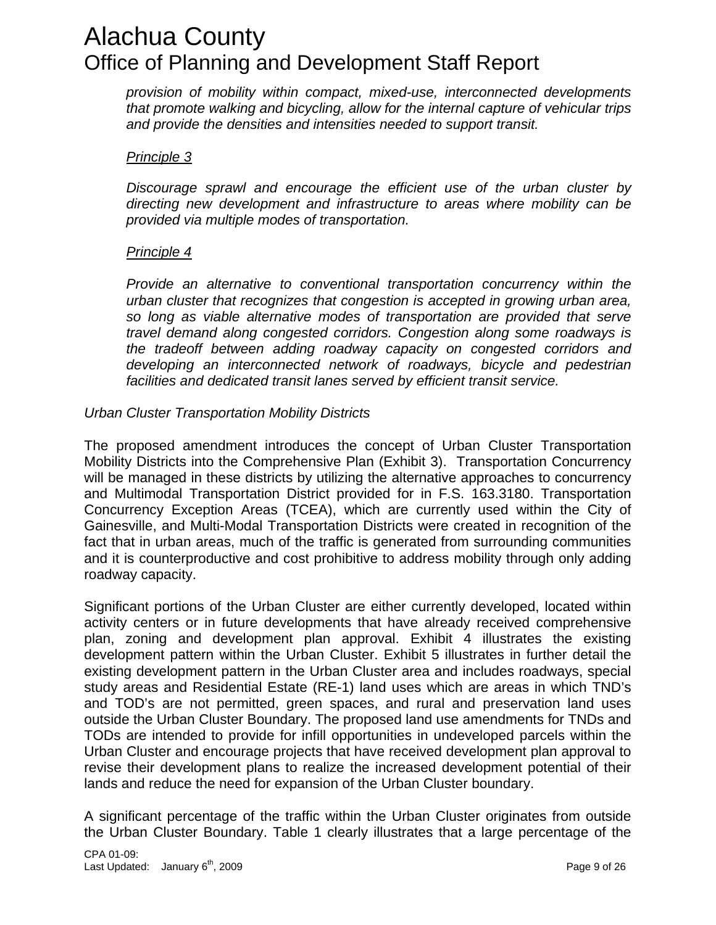*provision of mobility within compact, mixed-use, interconnected developments that promote walking and bicycling, allow for the internal capture of vehicular trips and provide the densities and intensities needed to support transit.* 

### *Principle 3*

*Discourage sprawl and encourage the efficient use of the urban cluster by directing new development and infrastructure to areas where mobility can be provided via multiple modes of transportation.* 

### *Principle 4*

*Provide an alternative to conventional transportation concurrency within the urban cluster that recognizes that congestion is accepted in growing urban area, so long as viable alternative modes of transportation are provided that serve travel demand along congested corridors. Congestion along some roadways is the tradeoff between adding roadway capacity on congested corridors and developing an interconnected network of roadways, bicycle and pedestrian facilities and dedicated transit lanes served by efficient transit service.* 

### **Urban Cluster Transportation Mobility Districts**

The proposed amendment introduces the concept of Urban Cluster Transportation Mobility Districts into the Comprehensive Plan (Exhibit 3). Transportation Concurrency will be managed in these districts by utilizing the alternative approaches to concurrency and Multimodal Transportation District provided for in F.S. 163.3180. Transportation Concurrency Exception Areas (TCEA), which are currently used within the City of Gainesville, and Multi-Modal Transportation Districts were created in recognition of the fact that in urban areas, much of the traffic is generated from surrounding communities and it is counterproductive and cost prohibitive to address mobility through only adding roadway capacity.

Significant portions of the Urban Cluster are either currently developed, located within activity centers or in future developments that have already received comprehensive plan, zoning and development plan approval. Exhibit 4 illustrates the existing development pattern within the Urban Cluster. Exhibit 5 illustrates in further detail the existing development pattern in the Urban Cluster area and includes roadways, special study areas and Residential Estate (RE-1) land uses which are areas in which TND's and TOD's are not permitted, green spaces, and rural and preservation land uses outside the Urban Cluster Boundary. The proposed land use amendments for TNDs and TODs are intended to provide for infill opportunities in undeveloped parcels within the Urban Cluster and encourage projects that have received development plan approval to revise their development plans to realize the increased development potential of their lands and reduce the need for expansion of the Urban Cluster boundary.

A significant percentage of the traffic within the Urban Cluster originates from outside the Urban Cluster Boundary. Table 1 clearly illustrates that a large percentage of the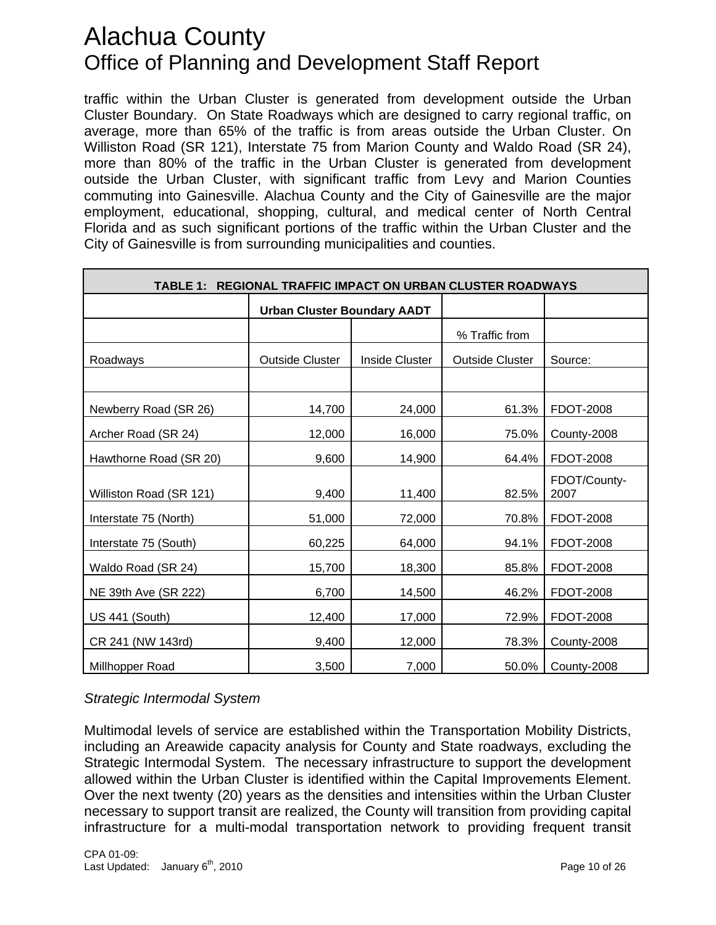traffic within the Urban Cluster is generated from development outside the Urban Cluster Boundary. On State Roadways which are designed to carry regional traffic, on average, more than 65% of the traffic is from areas outside the Urban Cluster. On Williston Road (SR 121), Interstate 75 from Marion County and Waldo Road (SR 24), more than 80% of the traffic in the Urban Cluster is generated from development outside the Urban Cluster, with significant traffic from Levy and Marion Counties commuting into Gainesville. Alachua County and the City of Gainesville are the major employment, educational, shopping, cultural, and medical center of North Central Florida and as such significant portions of the traffic within the Urban Cluster and the City of Gainesville is from surrounding municipalities and counties.

| REGIONAL TRAFFIC IMPACT ON URBAN CLUSTER ROADWAYS<br><b>TABLE 1:</b> |                                    |                |                        |                      |
|----------------------------------------------------------------------|------------------------------------|----------------|------------------------|----------------------|
|                                                                      | <b>Urban Cluster Boundary AADT</b> |                |                        |                      |
|                                                                      |                                    |                | % Traffic from         |                      |
| Roadways                                                             | <b>Outside Cluster</b>             | Inside Cluster | <b>Outside Cluster</b> | Source:              |
|                                                                      |                                    |                |                        |                      |
| Newberry Road (SR 26)                                                | 14,700                             | 24,000         | 61.3%                  | <b>FDOT-2008</b>     |
| Archer Road (SR 24)                                                  | 12,000                             | 16,000         | 75.0%                  | County-2008          |
| Hawthorne Road (SR 20)                                               | 9,600                              | 14,900         | 64.4%                  | <b>FDOT-2008</b>     |
| Williston Road (SR 121)                                              | 9,400                              | 11,400         | 82.5%                  | FDOT/County-<br>2007 |
| Interstate 75 (North)                                                | 51,000                             | 72,000         | 70.8%                  | <b>FDOT-2008</b>     |
| Interstate 75 (South)                                                | 60,225                             | 64,000         | 94.1%                  | <b>FDOT-2008</b>     |
| Waldo Road (SR 24)                                                   | 15,700                             | 18,300         | 85.8%                  | <b>FDOT-2008</b>     |
| NE 39th Ave (SR 222)                                                 | 6,700                              | 14,500         | 46.2%                  | <b>FDOT-2008</b>     |
| <b>US 441 (South)</b>                                                | 12,400                             | 17,000         | 72.9%                  | <b>FDOT-2008</b>     |
| CR 241 (NW 143rd)                                                    | 9,400                              | 12,000         | 78.3%                  | County-2008          |
| Millhopper Road                                                      | 3,500                              | 7,000          | 50.0%                  | County-2008          |

*trategic Intermodal System S*

Multimodal levels of service are established within the Transportation Mobility Districts, including an Areawide capacity analysis for County and State roadways, excluding the Strategic Intermodal System. The necessary infrastructure to support the development allowed within the Urban Cluster is identified within the Capital Improvements Element. Over the next twenty (20) years as the densities and intensities within the Urban Cluster necessary to support transit are realized, the County will transition from providing capital infrastructure for a multi-modal transportation network to providing frequent transit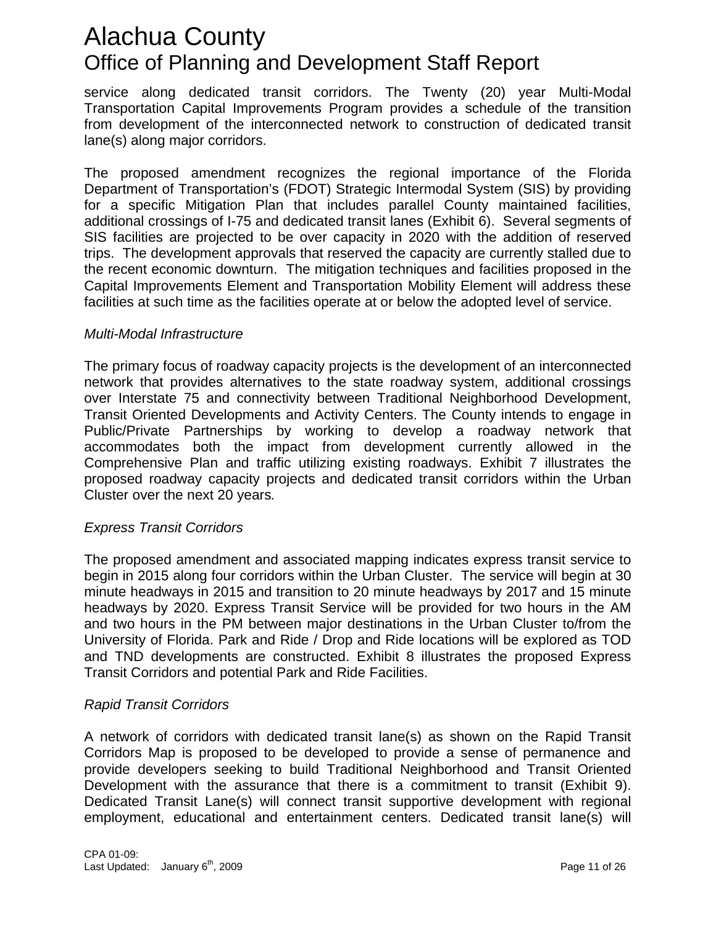service along dedicated transit corridors. The Twenty (20) year Multi-Modal Transportation Capital Improvements Program provides a schedule of the transition from development of the interconnected network to construction of dedicated transit lane(s) along major corridors.

The proposed amendment recognizes the regional importance of the Florida Department of Transportation's (FDOT) Strategic Intermodal System (SIS) by providing for a specific Mitigation Plan that includes parallel County maintained facilities, additional crossings of I-75 and dedicated transit lanes (Exhibit 6). Several segments of SIS facilities are projected to be over capacity in 2020 with the addition of reserved trips. The development approvals that reserved the capacity are currently stalled due to the recent economic downturn. The mitigation techniques and facilities proposed in the Capital Improvements Element and Transportation Mobility Element will address these facilities at such time as the facilities operate at or below the adopted level of service.

### *Multi-Modal Infrastructure*

The primary focus of roadway capacity projects is the development of an interconnected network that provides alternatives to the state roadway system, additional crossings over Interstate 75 and connectivity between Traditional Neighborhood Development, Transit Oriented Developments and Activity Centers. The County intends to engage in Public/Private Partnerships by working to develop a roadway network that accommodates both the impact from development currently allowed in the Comprehensive Plan and traffic utilizing existing roadways. Exhibit 7 illustrates the proposed roadway capacity projects and dedicated transit corridors within the Urban Cluster over the next 20 years*.* 

### *xpress Transit Corridors E*

he proposed amendment and associated mapping indicates express transit service to T begin in 2015 along four corridors within the Urban Cluster. The service will begin at 30 minute headways in 2015 and transition to 20 minute headways by 2017 and 15 minute headways by 2020. Express Transit Service will be provided for two hours in the AM and two hours in the PM between major destinations in the Urban Cluster to/from the University of Florida. Park and Ride / Drop and Ride locations will be explored as TOD and TND developments are constructed. Exhibit 8 illustrates the proposed Express Transit Corridors and potential Park and Ride Facilities.

### **Rapid Transit Corridors**

A network of corridors with dedicated transit lane(s) as shown on the Rapid Transit Corridors Map is proposed to be developed to provide a sense of permanence and provide developers seeking to build Traditional Neighborhood and Transit Oriented Development with the assurance that there is a commitment to transit (Exhibit 9). Dedicated Transit Lane(s) will connect transit supportive development with regional employment, educational and entertainment centers. Dedicated transit lane(s) will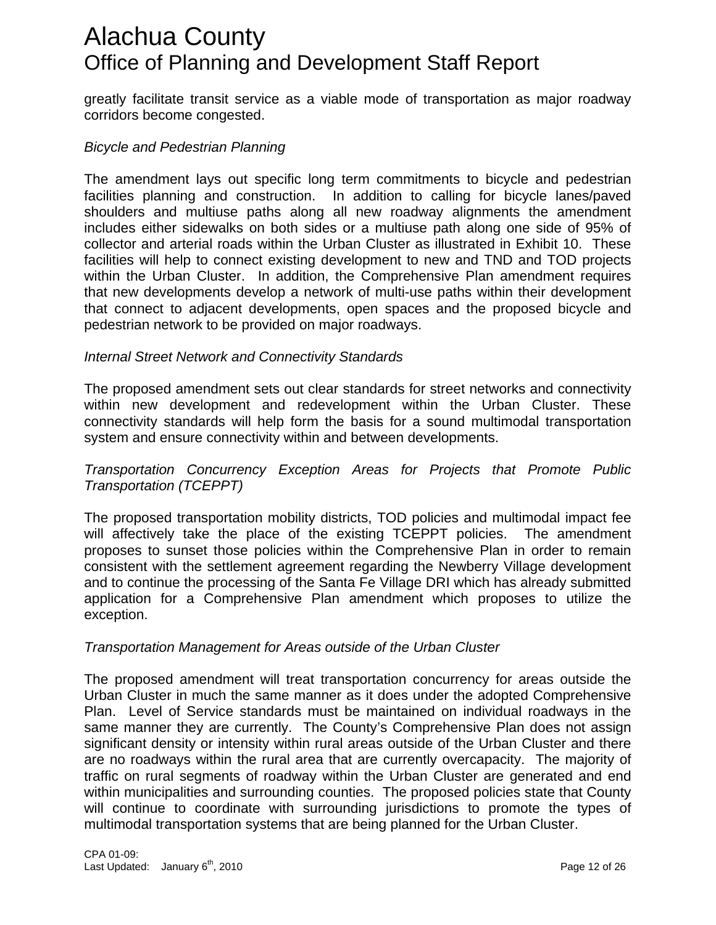greatly facilitate transit service as a viable mode of transportation as major roadway corridors become congested.

### *Bicycle and Pedestrian Planning*

The amendment lays out specific long term commitments to bicycle and pedestrian facilities planning and construction. In addition to calling for bicycle lanes/paved shoulders and multiuse paths along all new roadway alignments the amendment includes either sidewalks on both sides or a multiuse path along one side of 95% of collector and arterial roads within the Urban Cluster as illustrated in Exhibit 10. These facilities will help to connect existing development to new and TND and TOD projects within the Urban Cluster. In addition, the Comprehensive Plan amendment requires that new developments develop a network of multi-use paths within their development that connect to adjacent developments, open spaces and the proposed bicycle and pedestrian network to be provided on major roadways.

### **Internal Street Network and Connectivity Standards**

he proposed amendment sets out clear standards for street networks and connectivity T within new development and redevelopment within the Urban Cluster. These connectivity standards will help form the basis for a sound multimodal transportation system and ensure connectivity within and between developments.

### *Transportation Concurrency Exception Areas for Projects that Promote Public Transportation (TCEPPT)*

he proposed transportation mobility districts, TOD policies and multimodal impact fee T will affectively take the place of the existing TCEPPT policies. The amendment proposes to sunset those policies within the Comprehensive Plan in order to remain consistent with the settlement agreement regarding the Newberry Village development and to continue the processing of the Santa Fe Village DRI which has already submitted application for a Comprehensive Plan amendment which proposes to utilize the exception.

### *ransportation Management for Areas outside of the Urban Cluster T*

The proposed amendment will treat transportation concurrency for areas outside the Urban Cluster in much the same manner as it does under the adopted Comprehensive Plan. Level of Service standards must be maintained on individual roadways in the same manner they are currently. The County's Comprehensive Plan does not assign significant density or intensity within rural areas outside of the Urban Cluster and there are no roadways within the rural area that are currently overcapacity. The majority of traffic on rural segments of roadway within the Urban Cluster are generated and end within municipalities and surrounding counties. The proposed policies state that County will continue to coordinate with surrounding jurisdictions to promote the types of multimodal transportation systems that are being planned for the Urban Cluster.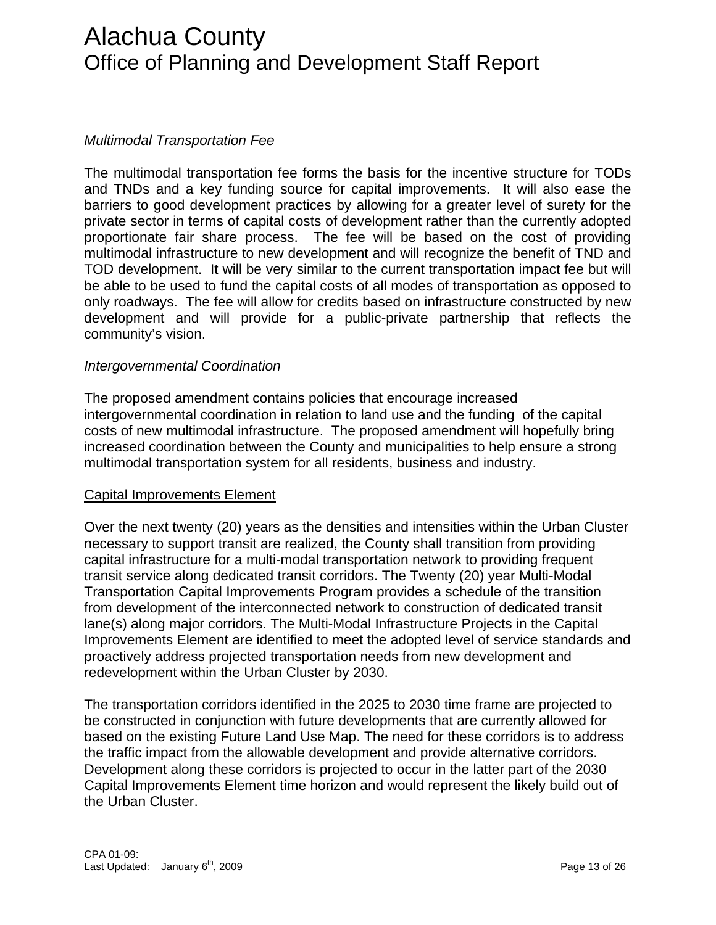### *Multimodal Transportation Fee*

The multimodal transportation fee forms the basis for the incentive structure for TODs and TNDs and a key funding source for capital improvements. It will also ease the barriers to good development practices by allowing for a greater level of surety for the private sector in terms of capital costs of development rather than the currently adopted proportionate fair share process. The fee will be based on the cost of providing multimodal infrastructure to new development and will recognize the benefit of TND and TOD development. It will be very similar to the current transportation impact fee but will be able to be used to fund the capital costs of all modes of transportation as opposed to only roadways. The fee will allow for credits based on infrastructure constructed by new development and will provide for a public-private partnership that reflects the community's vision.

### **Intergovernmental Coordination**

he proposed amendment contains policies that encourage increased T intergovernmental coordination in relation to land use and the funding of the capital costs of new multimodal infrastructure. The proposed amendment will hopefully bring increased coordination between the County and municipalities to help ensure a strong multimodal transportation system for all residents, business and industry.

### **Capital Improvements Element**

Over the next twenty (20) years as the densities and intensities within the Urban Cluster Improvements Element are identified to meet the adopted level of service standards and necessary to support transit are realized, the County shall transition from providing capital infrastructure for a multi-modal transportation network to providing frequent transit service along dedicated transit corridors. The Twenty (20) year Multi-Modal Transportation Capital Improvements Program provides a schedule of the transition from development of the interconnected network to construction of dedicated transit lane(s) along major corridors. The Multi-Modal Infrastructure Projects in the Capital proactively address projected transportation needs from new development and redevelopment within the Urban Cluster by 2030.

The transportation corridors identified in the 2025 to 2030 time frame are projected to based on the existing Future Land Use Map. The need for these corridors is to address Capital Improvements Element time horizon and would represent the likely build out of be constructed in conjunction with future developments that are currently allowed for the traffic impact from the allowable development and provide alternative corridors. Development along these corridors is projected to occur in the latter part of the 2030 the Urban Cluster.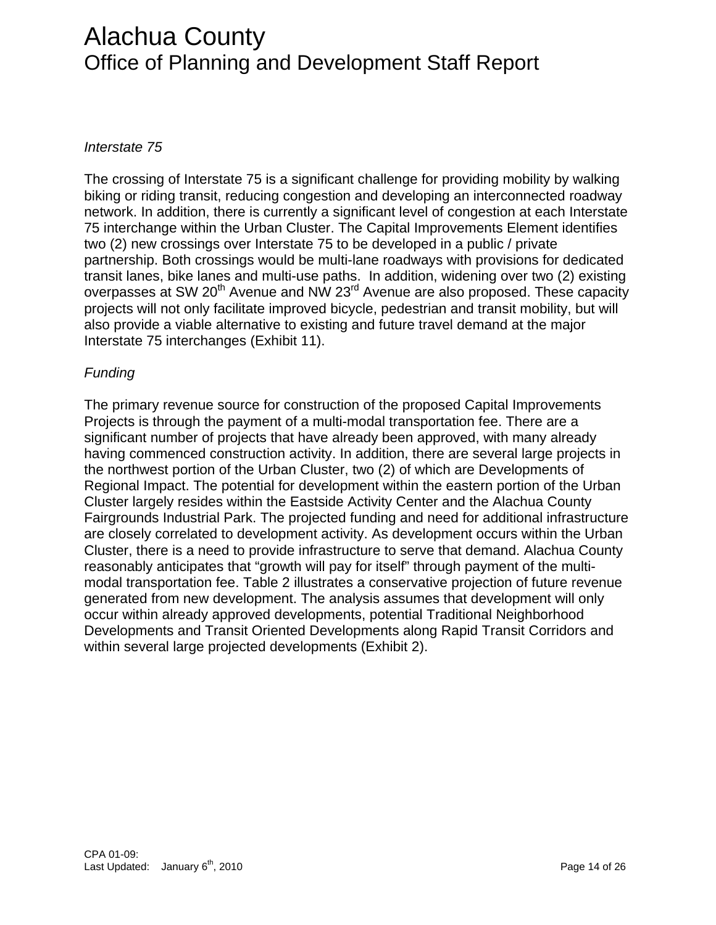### *terstate 75 In*

he crossing of Interstate 75 is a significant challenge for providing mobility by walking T partnership. Both crossings would be multi-lane roadways with provisions for dedicated biking or riding transit, reducing congestion and developing an interconnected roadway network. In addition, there is currently a significant level of congestion at each Interstate 75 interchange within the Urban Cluster. The Capital Improvements Element identifies two (2) new crossings over Interstate 75 to be developed in a public / private transit lanes, bike lanes and multi-use paths. In addition, widening over two (2) existing overpasses at SW 20<sup>th</sup> Avenue and NW 23<sup>rd</sup> Avenue are also proposed. These capacity projects will not only facilitate improved bicycle, pedestrian and transit mobility, but will also provide a viable alternative to existing and future travel demand at the major Interstate 75 interchanges (Exhibit 11).

### **Funding**

The primary revenue source for construction of the proposed Capital Improvements significant number of projects that have already been approved, with many already having commenced construction activity. In addition, there are several large projects in Regional Impact. The potential for development within the eastern portion of the Urban Fairgrounds Industrial Park. The projected funding and need for additional infrastructure modal transportation fee. Table 2 illustrates a conservative projection of future revenue Developments and Transit Oriented Developments along Rapid Transit Corridors and Projects is through the payment of a multi-modal transportation fee. There are a the northwest portion of the Urban Cluster, two (2) of which are Developments of Cluster largely resides within the Eastside Activity Center and the Alachua County are closely correlated to development activity. As development occurs within the Urban Cluster, there is a need to provide infrastructure to serve that demand. Alachua County reasonably anticipates that "growth will pay for itself" through payment of the multigenerated from new development. The analysis assumes that development will only occur within already approved developments, potential Traditional Neighborhood within several large projected developments (Exhibit 2).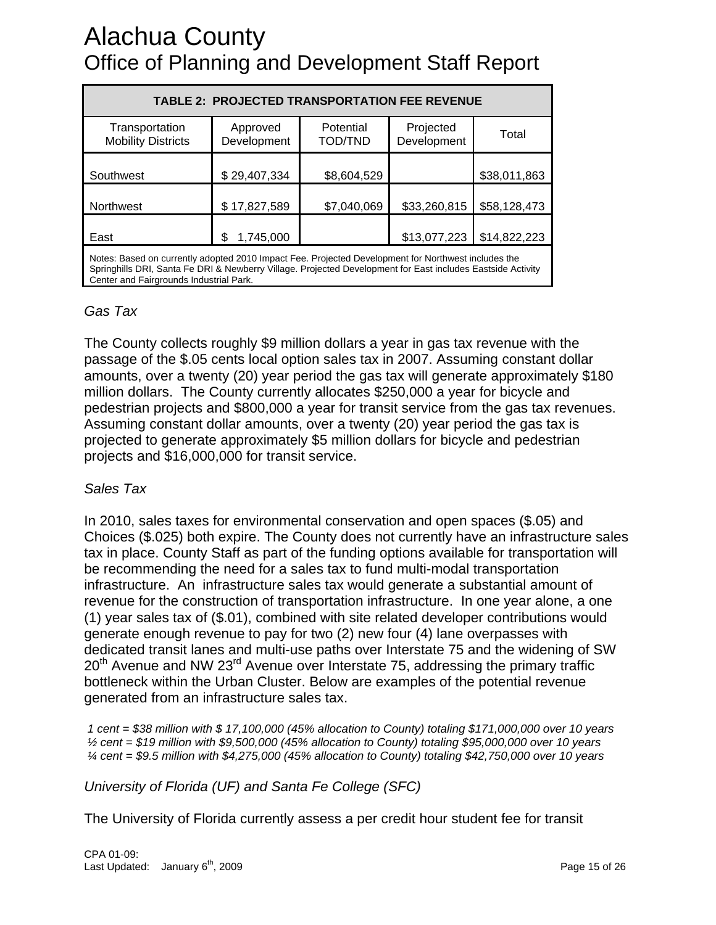| <b>TABLE 2: PROJECTED TRANSPORTATION FEE REVENUE</b>                                                                                                                                                                 |                         |                             |                          |              |
|----------------------------------------------------------------------------------------------------------------------------------------------------------------------------------------------------------------------|-------------------------|-----------------------------|--------------------------|--------------|
| Transportation<br><b>Mobility Districts</b>                                                                                                                                                                          | Approved<br>Development | Potential<br><b>TOD/TND</b> | Projected<br>Development | Total        |
| Southwest                                                                                                                                                                                                            | \$29,407,334            | \$8,604,529                 |                          | \$38,011,863 |
| Northwest                                                                                                                                                                                                            | \$17,827,589            | \$7,040,069                 | \$33,260,815             | \$58,128,473 |
| East                                                                                                                                                                                                                 | 1,745,000               |                             | \$13,077,223             | \$14,822,223 |
| Notes: Based on currently adopted 2010 Impact Fee. Projected Development for Northwest includes the<br>Onginalitie DDI, Ongde Ex DDI 9, Nachkage, Village, Designed Dacobamand for East includes Eastelds, Asticitie |                         |                             |                          |              |

Springhills DRI, Santa Fe DRI & Newberry Village. Projected Development for East includes Eastside Activity Center and Fairgrounds Industrial Park.

### Gas Tax

The County collects roughly \$9 million dollars a year in gas tax revenue with the passage of the \$.05 cents local option sales tax in 2007. Assuming constant dollar amounts, over a twenty (20) year period the gas tax will generate approximately \$180 pedestrian projects and \$800,000 a year for transit service from the gas tax revenues. million dollars. The County currently allocates \$250,000 a year for bicycle and Assuming constant dollar amounts, over a twenty (20) year period the gas tax is projected to generate approximately \$5 million dollars for bicycle and pedestrian projects and \$16,000,000 for transit service.

### Sales Tax

 2010, sales taxes for environmental conservation and open spaces (\$.05) and In Choices (\$.025) both expire. The County does not currently have an infrastructure sales infrastructure. An infrastructure sales tax would generate a substantial amount of revenue for the construction of transportation infrastructure. In one year alone, a one dedicated transit lanes and multi-use paths over Interstate 75 and the widening of SW tax in place. County Staff as part of the funding options available for transportation will be recommending the need for a sales tax to fund multi-modal transportation (1) year sales tax of (\$.01), combined with site related developer contributions would generate enough revenue to pay for two (2) new four (4) lane overpasses with 20<sup>th</sup> Avenue and NW 23<sup>rd</sup> Avenue over Interstate 75, addressing the primary traffic bottleneck within the Urban Cluster. Below are examples of the potential revenue generated from an infrastructure sales tax.

*i* cent = \$38 million with \$ 17,100,000 (45% allocation to County) totaling \$171,000,000 over 10 years  *½ cent = \$19 million with \$9,500,000 (45% allocation to County) totaling \$95,000,000 over 10 years ¼ cent = \$9.5 million with \$4,275,000 (45% allocation to County) totaling \$42,750,000 over 10 years* 

*niversity of Florida (UF) and Santa Fe College (SFC) U*

The University of Florida currently assess a per credit hour student fee for transit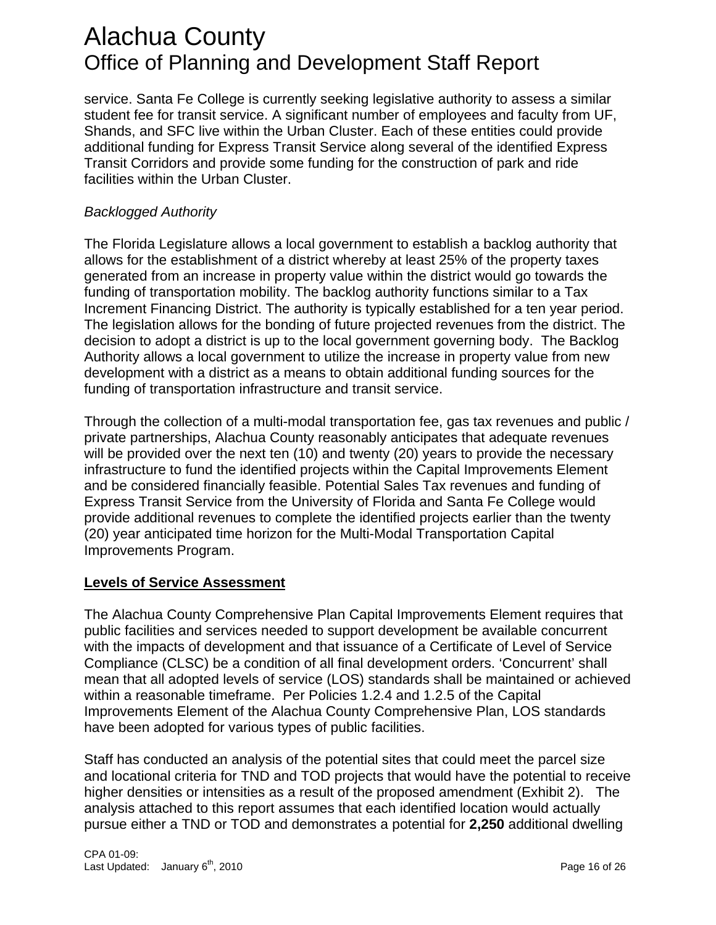service. Santa Fe College is currently seeking legislative authority to assess a similar student fee for transit service. A significant number of employees and faculty from UF, Shands, and SFC live within the Urban Cluster. Each of these entities could provide additional funding for Express Transit Service along several of the identified Express Transit Corridors and provide some funding for the construction of park and ride facilities within the Urban Cluster.

### *Backlogged Authority*

The Florida Legislature allows a local government to establish a backlog authority that allows for the establishment of a district whereby at least 25% of the property taxes generated from an increase in property value within the district would go towards the funding of transportation mobility. The backlog authority functions similar to a Tax Increment Financing District. The authority is typically established for a ten year period. The legislation allows for the bonding of future projected revenues from the district. The decision to adopt a district is up to the local government governing body. The Backlog Authority allows a local government to utilize the increase in property value from new development with a district as a means to obtain additional funding sources for the funding of transportation infrastructure and transit service.

Through the collection of a multi-modal transportation fee, gas tax revenues and public / private partnerships, Alachua County reasonably anticipates that adequate revenues will be provided over the next ten (10) and twenty (20) years to provide the necessary infrastructure to fund the identified projects within the Capital Improvements Element and be considered financially feasible. Potential Sales Tax revenues and funding of Express Transit Service from the University of Florida and Santa Fe College would provide additional revenues to complete the identified projects earlier than the twenty (20) year anticipated time horizon for the Multi-Modal Transportation Capital Improvements Program.

### **Levels of Service Assessment**

The Alachua County Comprehensive Plan Capital Improvements Element requires that public facilities and services needed to support development be available concurrent with the impacts of development and that issuance of a Certificate of Level of Service Compliance (CLSC) be a condition of all final development orders. 'Concurrent' shall mean that all adopted levels of service (LOS) standards shall be maintained or achieved within a reasonable timeframe. Per Policies 1.2.4 and 1.2.5 of the Capital Improvements Element of the Alachua County Comprehensive Plan, LOS standards have been adopted for various types of public facilities.

Staff has conducted an analysis of the potential sites that could meet the parcel size and locational criteria for TND and TOD projects that would have the potential to receive higher densities or intensities as a result of the proposed amendment (Exhibit 2). The analysis attached to this report assumes that each identified location would actually pursue either a TND or TOD and demonstrates a potential for **2,250** additional dwelling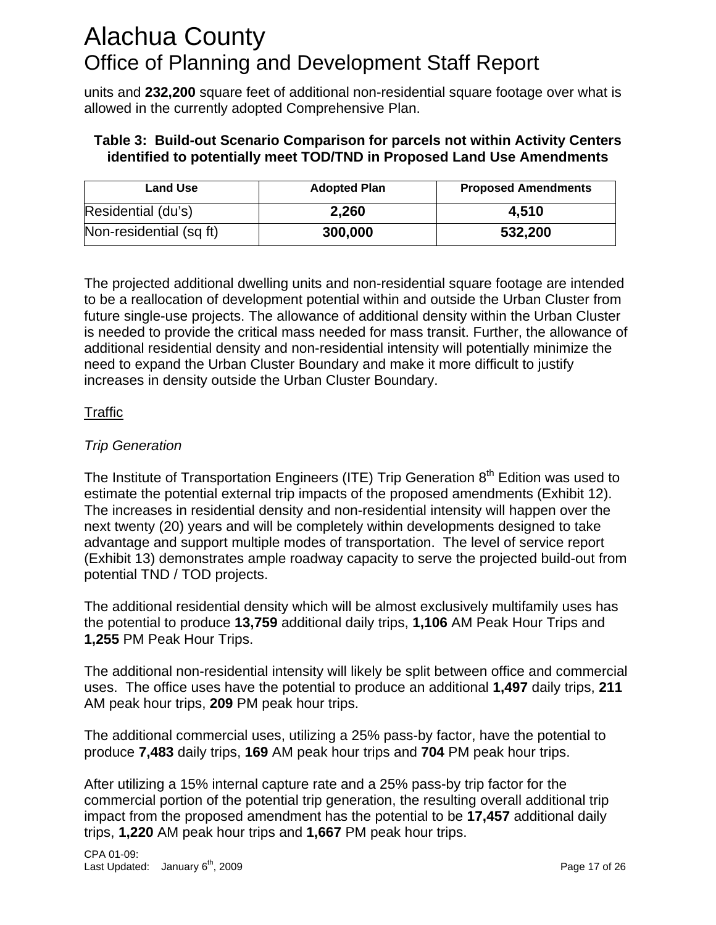units and **232,200** square feet of additional non-residential square footage over what is allowed in the currently adopted Comprehensive Plan.

### **Table 3: Build-out Scenario Comparison for parcels not within Activity Centers identified to potentially meet TOD/TND in Proposed Land Use Amendments**

| <b>Land Use</b>         | <b>Adopted Plan</b> | <b>Proposed Amendments</b> |
|-------------------------|---------------------|----------------------------|
| Residential (du's)      | 2,260               | 4.510                      |
| Non-residential (sq ft) | 300,000             | 532,200                    |

The projected additional dwelling units and non-residential square footage are intended to be a reallocation of development potential within and outside the Urban Cluster from future single-use projects. The allowance of additional density within the Urban Cluster is needed to provide the critical mass needed for mass transit. Further, the allowance of additional residential density and non-residential intensity will potentially minimize the need to expand the Urban Cluster Boundary and make it more difficult to justify increases in density outside the Urban Cluster Boundary.

### **Traffic**

### *Trip Generation*

The Institute of Transportation Engineers (ITE) Trip Generation  $8<sup>th</sup>$  Edition was used to estimate the potential external trip impacts of the proposed amendments (Exhibit 12). The increases in residential density and non-residential intensity will happen over the next twenty (20) years and will be completely within developments designed to take advantage and support multiple modes of transportation. The level of service report (Exhibit 13) demonstrates ample roadway capacity to serve the projected build-out from potential TND / TOD projects.

The additional residential density which will be almost exclusively multifamily uses has the potential to produce **13,759** additional daily trips, **1,106** AM Peak Hour Trips and **1,255** PM Peak Hour Trips.

The additional non-residential intensity will likely be split between office and commercial uses. The office uses have the potential to produce an additional **1,497** daily trips, **211** AM peak hour trips, **209** PM peak hour trips.

The additional commercial uses, utilizing a 25% pass-by factor, have the potential to produce **7,483** daily trips, **169** AM peak hour trips and **704** PM peak hour trips.

After utilizing a 15% internal capture rate and a 25% pass-by trip factor for the commercial portion of the potential trip generation, the resulting overall additional trip impact from the proposed amendment has the potential to be **17,457** additional daily trips, **1,220** AM peak hour trips and **1,667** PM peak hour trips.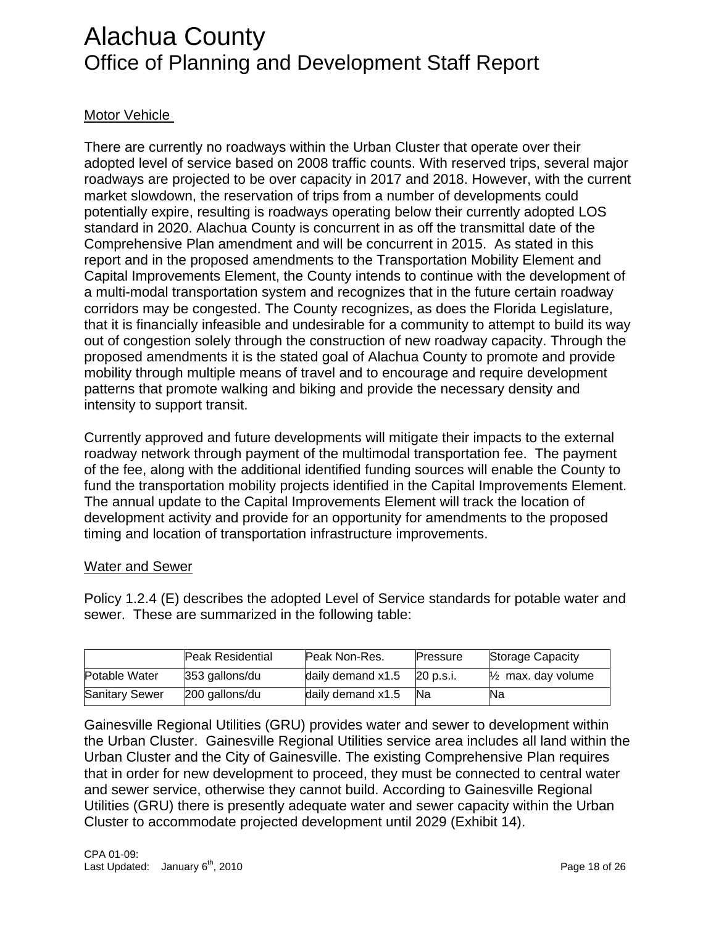### Motor Vehicle

There are currently no roadways within the Urban Cluster that operate over their adopted level of service based on 2008 traffic counts. With reserved trips, several major roadways are projected to be over capacity in 2017 and 2018. However, with the current market slowdown, the reservation of trips from a number of developments could potentially expire, resulting is roadways operating below their currently adopted LOS standard in 2020. Alachua County is concurrent in as off the transmittal date of the Comprehensive Plan amendment and will be concurrent in 2015. As stated in this report and in the proposed amendments to the Transportation Mobility Element and Capital Improvements Element, the County intends to continue with the development of a multi-modal transportation system and recognizes that in the future certain roadway corridors may be congested. The County recognizes, as does the Florida Legislature, that it is financially infeasible and undesirable for a community to attempt to build its way out of congestion solely through the construction of new roadway capacity. Through the proposed amendments it is the stated goal of Alachua County to promote and provide mobility through multiple means of travel and to encourage and require development patterns that promote walking and biking and provide the necessary density and intensity to support transit.

Currently approved and future developments will mitigate their impacts to the external roadway network through payment of the multimodal transportation fee. The payment of the fee, along with the additional identified funding sources will enable the County to fund the transportation mobility projects identified in the Capital Improvements Element. The annual update to the Capital Improvements Element will track the location of development activity and provide for an opportunity for amendments to the proposed timing and location of transportation infrastructure improvements.

### Water and Sewer

Policy 1.2.4 (E) describes the adopted Level of Service standards for potable water and sewer. These are summarized in the following table:

|                       | <b>Peak Residential</b> | Peak Non-Res.     | Pressure  | Storage Capacity              |
|-----------------------|-------------------------|-------------------|-----------|-------------------------------|
| Potable Water         | 353 gallons/du          | daily demand x1.5 | 20 p.s.i. | $\frac{1}{2}$ max. day volume |
| <b>Sanitary Sewer</b> | 200 gallons/du          | daily demand x1.5 | Na        | Na                            |

Gainesville Regional Utilities (GRU) provides water and sewer to development within the Urban Cluster. Gainesville Regional Utilities service area includes all land within the Urban Cluster and the City of Gainesville. The existing Comprehensive Plan requires that in order for new development to proceed, they must be connected to central water and sewer service, otherwise they cannot build. According to Gainesville Regional Utilities (GRU) there is presently adequate water and sewer capacity within the Urban Cluster to accommodate projected development until 2029 (Exhibit 14).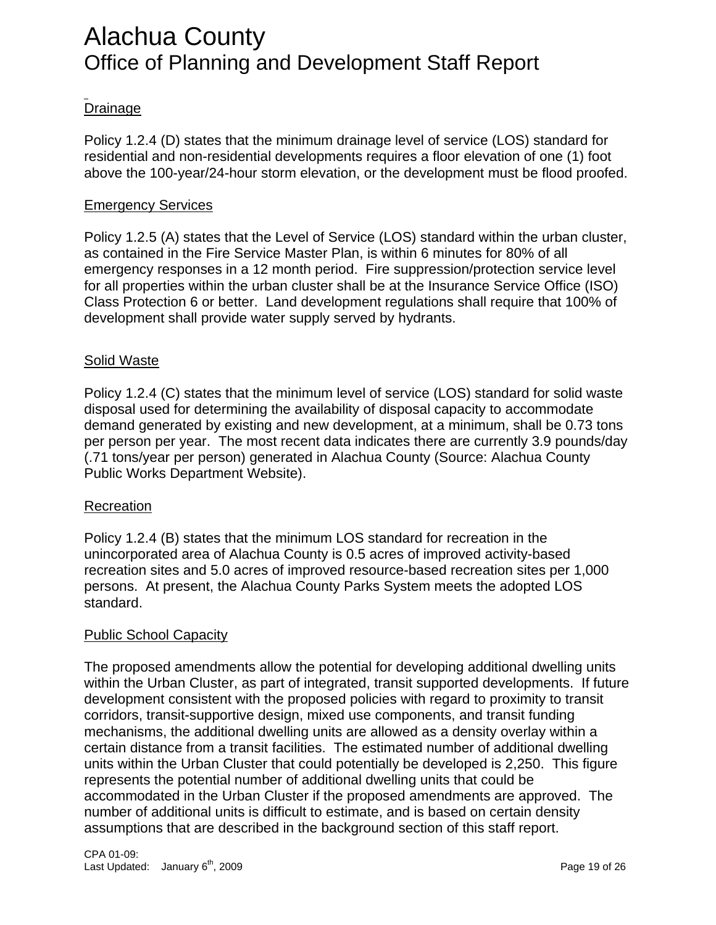### **Drainage**

Policy 1.2.4 (D) states that the minimum drainage level of service (LOS) standard for residential and non-residential developments requires a floor elevation of one (1) foot above the 100-year/24-hour storm elevation, or the development must be flood proofed.

### Emergency Services

Policy 1.2.5 (A) states that the Level of Service (LOS) standard within the urban cluster, as contained in the Fire Service Master Plan, is within 6 minutes for 80% of all emergency responses in a 12 month period. Fire suppression/protection service level for all properties within the urban cluster shall be at the Insurance Service Office (ISO) Class Protection 6 or better. Land development regulations shall require that 100% of development shall provide water supply served by hydrants.

### Solid Waste

Policy 1.2.4 (C) states that the minimum level of service (LOS) standard for solid waste disposal used for determining the availability of disposal capacity to accommodate demand generated by existing and new development, at a minimum, shall be 0.73 tons per person per year. The most recent data indicates there are currently 3.9 pounds/day (.71 tons/year per person) generated in Alachua County (Source: Alachua County Public Works Department Website).

### Recreation

Policy 1.2.4 (B) states that the minimum LOS standard for recreation in the unincorporated area of Alachua County is 0.5 acres of improved activity-based recreation sites and 5.0 acres of improved resource-based recreation sites per 1,000 persons. At present, the Alachua County Parks System meets the adopted LOS standard.

### Public School Capacity

The proposed amendments allow the potential for developing additional dwelling units within the Urban Cluster, as part of integrated, transit supported developments. If future development consistent with the proposed policies with regard to proximity to transit corridors, transit-supportive design, mixed use components, and transit funding mechanisms, the additional dwelling units are allowed as a density overlay within a certain distance from a transit facilities. The estimated number of additional dwelling units within the Urban Cluster that could potentially be developed is 2,250. This figure represents the potential number of additional dwelling units that could be accommodated in the Urban Cluster if the proposed amendments are approved. The number of additional units is difficult to estimate, and is based on certain density assumptions that are described in the background section of this staff report.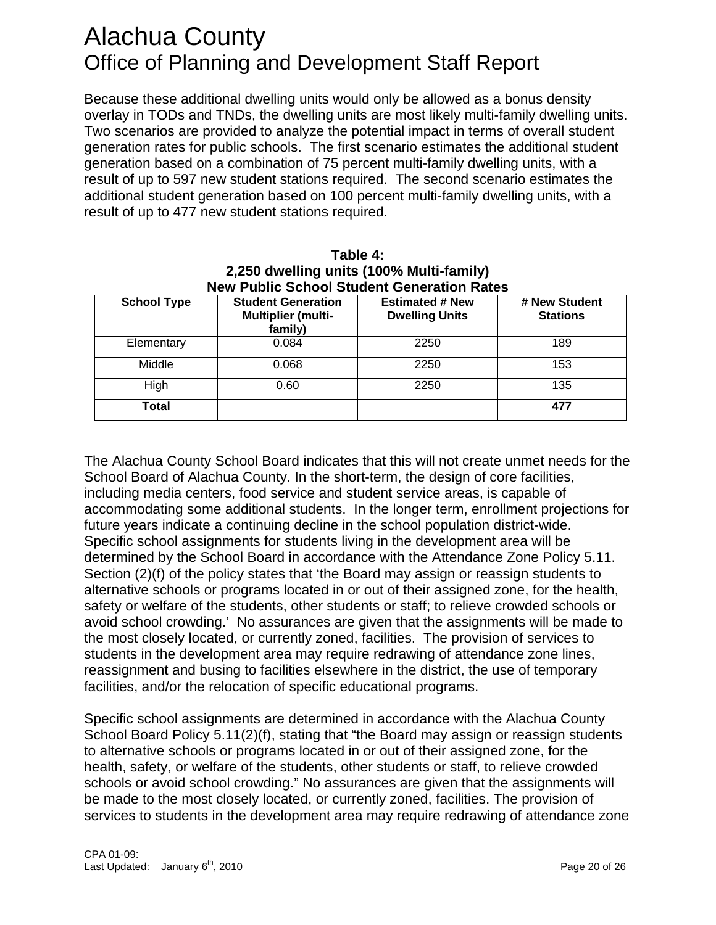Because these additional dwelling units would only be allowed as a bonus density overlay in TODs and TNDs, the dwelling units are most likely multi-family dwelling units. Two scenarios are provided to analyze the potential impact in terms of overall student generation rates for public schools. The first scenario estimates the additional student generation based on a combination of 75 percent multi-family dwelling units, with a result of up to 597 new student stations required. The second scenario estimates the additional student generation based on 100 percent multi-family dwelling units, with a result of up to 477 new student stations required.

|                    | <b>New Public School Student Generation Rates</b>                 |                                                 |                                  |
|--------------------|-------------------------------------------------------------------|-------------------------------------------------|----------------------------------|
| <b>School Type</b> | <b>Student Generation</b><br><b>Multiplier (multi-</b><br>family) | <b>Estimated # New</b><br><b>Dwelling Units</b> | # New Student<br><b>Stations</b> |
| Elementary         | 0.084                                                             | 2250                                            | 189                              |
| Middle             | 0.068                                                             | 2250                                            | 153                              |
| High               | 0.60                                                              | 2250                                            | 135                              |
| Total              |                                                                   |                                                 | 477                              |

| Table 4:                                          |
|---------------------------------------------------|
| 2,250 dwelling units (100% Multi-family)          |
| <b>New Public School Student Generation Rates</b> |

The Alachua County School Board indicates that this will not create unmet needs for the School Board of Alachua County. In the short-term, the design of core facilities, including media centers, food service and student service areas, is capable of accommodating some additional students. In the longer term, enrollment projections for future years indicate a continuing decline in the school population district-wide. Specific school assignments for students living in the development area will be determined by the School Board in accordance with the Attendance Zone Policy 5.11. Section (2)(f) of the policy states that 'the Board may assign or reassign students to alternative schools or programs located in or out of their assigned zone, for the health, safety or welfare of the students, other students or staff; to relieve crowded schools or avoid school crowding.' No assurances are given that the assignments will be made to the most closely located, or currently zoned, facilities. The provision of services to students in the development area may require redrawing of attendance zone lines, reassignment and busing to facilities elsewhere in the district, the use of temporary facilities, and/or the relocation of specific educational programs.

Specific school assignments are determined in accordance with the Alachua County School Board Policy 5.11(2)(f), stating that "the Board may assign or reassign students to alternative schools or programs located in or out of their assigned zone, for the health, safety, or welfare of the students, other students or staff, to relieve crowded schools or avoid school crowding." No assurances are given that the assignments will be made to the most closely located, or currently zoned, facilities. The provision of services to students in the development area may require redrawing of attendance zone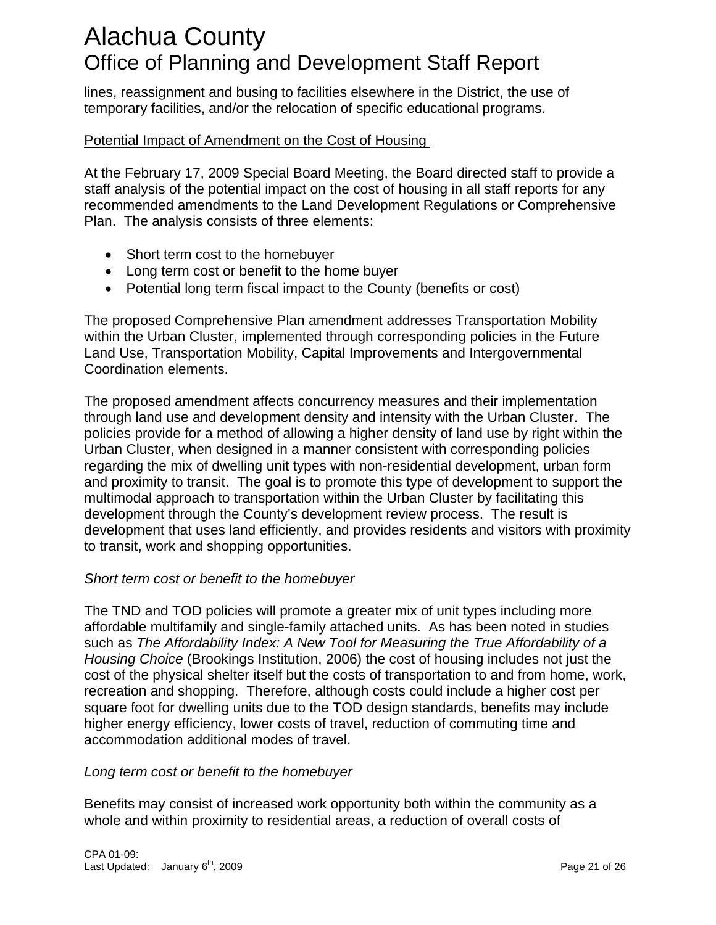lines, reassignment and busing to facilities elsewhere in the District, the use of temporary facilities, and/or the relocation of specific educational programs.

### Potential Impact of Amendment on the Cost of Housing

At the February 17, 2009 Special Board Meeting, the Board directed staff to provide a staff analysis of the potential impact on the cost of housing in all staff reports for any recommended amendments to the Land Development Regulations or Comprehensive Plan. The analysis consists of three elements:

- Short term cost to the homebuyer
- Long term cost or benefit to the home buyer
- Potential long term fiscal impact to the County (benefits or cost)

The proposed Comprehensive Plan amendment addresses Transportation Mobility within the Urban Cluster, implemented through corresponding policies in the Future Land Use, Transportation Mobility, Capital Improvements and Intergovernmental Coordination elements.

The proposed amendment affects concurrency measures and their implementation through land use and development density and intensity with the Urban Cluster. The policies provide for a method of allowing a higher density of land use by right within the Urban Cluster, when designed in a manner consistent with corresponding policies regarding the mix of dwelling unit types with non-residential development, urban form and proximity to transit. The goal is to promote this type of development to support the multimodal approach to transportation within the Urban Cluster by facilitating this development through the County's development review process. The result is development that uses land efficiently, and provides residents and visitors with proximity to transit, work and shopping opportunities.

### *Short term cost or benefit to the homebuyer*

The TND and TOD policies will promote a greater mix of unit types including more affordable multifamily and single-family attached units. As has been noted in studies such as *The Affordability Index: A New Tool for Measuring the True Affordability of a Housing Choice* (Brookings Institution, 2006) the cost of housing includes not just the cost of the physical shelter itself but the costs of transportation to and from home, work, recreation and shopping. Therefore, although costs could include a higher cost per square foot for dwelling units due to the TOD design standards, benefits may include higher energy efficiency, lower costs of travel, reduction of commuting time and accommodation additional modes of travel.

### *Long term cost or benefit to the homebuyer*

Benefits may consist of increased work opportunity both within the community as a whole and within proximity to residential areas, a reduction of overall costs of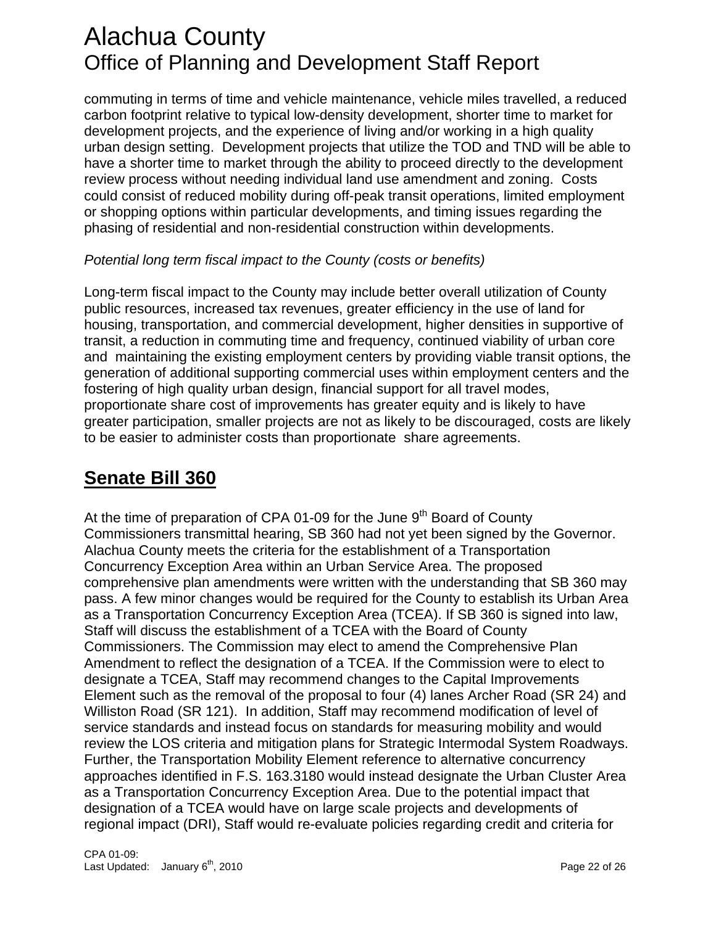commuting in terms of time and vehicle maintenance, vehicle miles travelled, a reduced carbon footprint relative to typical low-density development, shorter time to market for development projects, and the experience of living and/or working in a high quality urban design setting. Development projects that utilize the TOD and TND will be able to have a shorter time to market through the ability to proceed directly to the development review process without needing individual land use amendment and zoning. Costs could consist of reduced mobility during off-peak transit operations, limited employment or shopping options within particular developments, and timing issues regarding the phasing of residential and non-residential construction within developments.

### *Potential long term fiscal impact to the County (costs or benefits)*

Long-term fiscal impact to the County may include better overall utilization of County public resources, increased tax revenues, greater efficiency in the use of land for housing, transportation, and commercial development, higher densities in supportive of transit, a reduction in commuting time and frequency, continued viability of urban core and maintaining the existing employment centers by providing viable transit options, the generation of additional supporting commercial uses within employment centers and the fostering of high quality urban design, financial support for all travel modes, proportionate share cost of improvements has greater equity and is likely to have greater participation, smaller projects are not as likely to be discouraged, costs are likely to be easier to administer costs than proportionate share agreements.

### **Senate Bill 360**

At the time of preparation of CPA 01-09 for the June  $9<sup>th</sup>$  Board of County Commissioners transmittal hearing, SB 360 had not yet been signed by the Governor. Alachua County meets the criteria for the establishment of a Transportation Concurrency Exception Area within an Urban Service Area. The proposed comprehensive plan amendments were written with the understanding that SB 360 may pass. A few minor changes would be required for the County to establish its Urban Area as a Transportation Concurrency Exception Area (TCEA). If SB 360 is signed into law, Staff will discuss the establishment of a TCEA with the Board of County Commissioners. The Commission may elect to amend the Comprehensive Plan Amendment to reflect the designation of a TCEA. If the Commission were to elect to designate a TCEA, Staff may recommend changes to the Capital Improvements Element such as the removal of the proposal to four (4) lanes Archer Road (SR 24) and Williston Road (SR 121). In addition, Staff may recommend modification of level of service standards and instead focus on standards for measuring mobility and would review the LOS criteria and mitigation plans for Strategic Intermodal System Roadways. Further, the Transportation Mobility Element reference to alternative concurrency approaches identified in F.S. 163.3180 would instead designate the Urban Cluster Area as a Transportation Concurrency Exception Area. Due to the potential impact that designation of a TCEA would have on large scale projects and developments of regional impact (DRI), Staff would re-evaluate policies regarding credit and criteria for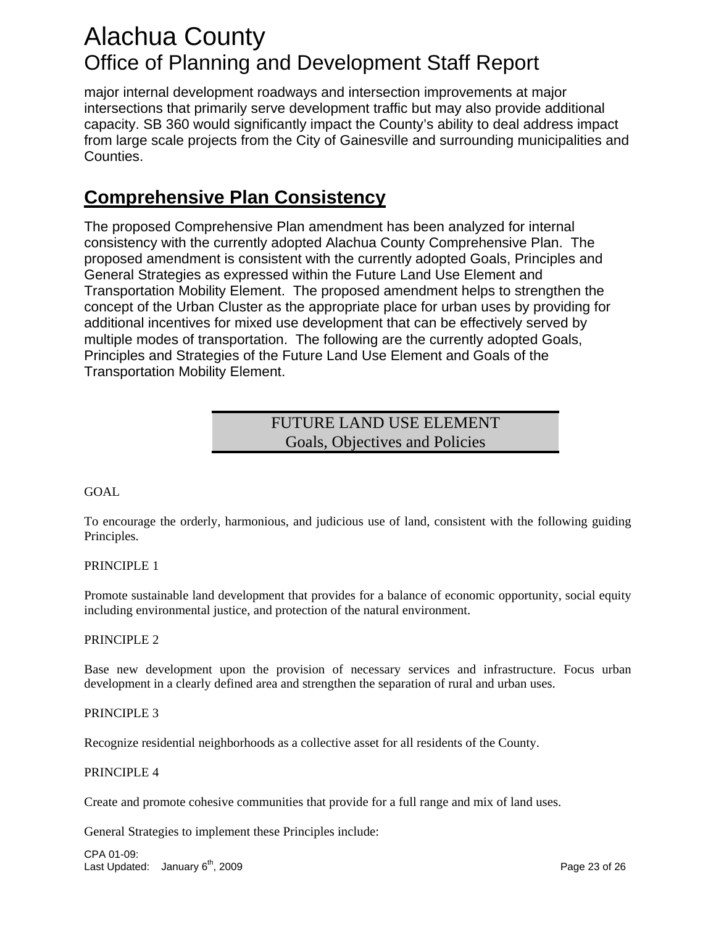major internal development roadways and intersection improvements at major intersections that primarily serve development traffic but may also provide additional capacity. SB 360 would significantly impact the County's ability to deal address impact from large scale projects from the City of Gainesville and surrounding municipalities and Counties.

### **Comprehensive Plan Consistency**

The proposed Comprehensive Plan amendment has been analyzed for internal consistency with the currently adopted Alachua County Comprehensive Plan. The proposed amendment is consistent with the currently adopted Goals, Principles and General Strategies as expressed within the Future Land Use Element and Transportation Mobility Element. The proposed amendment helps to strengthen the concept of the Urban Cluster as the appropriate place for urban uses by providing for additional incentives for mixed use development that can be effectively served by multiple modes of transportation. The following are the currently adopted Goals, Principles and Strategies of the Future Land Use Element and Goals of the Transportation Mobility Element.

### FUTURE LAND USE ELEMENT Goals, Objectives and Policies

### GOAL

To encourage the orderly, harmonious, and judicious use of land, consistent with the following guiding Principles.

#### PRINCIPLE 1

Promote sustainable land development that provides for a balance of economic opportunity, social equity including environmental justice, and protection of the natural environment.

#### PRINCIPLE 2

Base new development upon the provision of necessary services and infrastructure. Focus urban development in a clearly defined area and strengthen the separation of rural and urban uses.

#### PRINCIPLE 3

Recognize residential neighborhoods as a collective asset for all residents of the County.

#### PRINCIPLE 4

Create and promote cohesive communities that provide for a full range and mix of land uses.

General Strategies to implement these Principles include:

CPA 01-09: Last Updated: January 6<sup>th</sup>, 2009 **Page 23 of 26** Page 23 of 26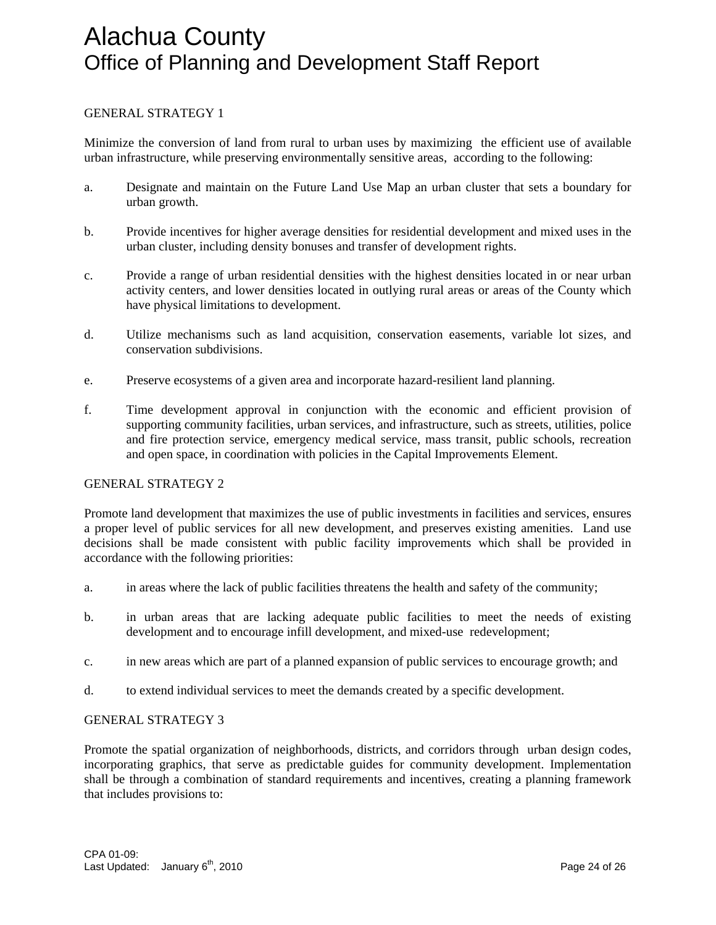#### GENERAL STRATEGY 1

Minimize the conversion of land from rural to urban uses by maximizing the efficient use of available urban infrastructure, while preserving environmentally sensitive areas, according to the following:

- a. Designate and maintain on the Future Land Use Map an urban cluster that sets a boundary for urban growth.
- b. Provide incentives for higher average densities for residential development and mixed uses in the urban cluster, including density bonuses and transfer of development rights.
- c. Provide a range of urban residential densities with the highest densities located in or near urban activity centers, and lower densities located in outlying rural areas or areas of the County which have physical limitations to development.
- d. Utilize mechanisms such as land acquisition, conservation easements, variable lot sizes, and conservation subdivisions.
- e. Preserve ecosystems of a given area and incorporate hazard-resilient land planning.
- f. Time development approval in conjunction with the economic and efficient provision of supporting community facilities, urban services, and infrastructure, such as streets, utilities, police and fire protection service, emergency medical service, mass transit, public schools, recreation and open space, in coordination with policies in the Capital Improvements Element.

#### GENERAL STRATEGY 2

Promote land development that maximizes the use of public investments in facilities and services, ensures a proper level of public services for all new development, and preserves existing amenities. Land use decisions shall be made consistent with public facility improvements which shall be provided in accordance with the following priorities:

- a. in areas where the lack of public facilities threatens the health and safety of the community;
- b. in urban areas that are lacking adequate public facilities to meet the needs of existing development and to encourage infill development, and mixed-use redevelopment;
- c. in new areas which are part of a planned expansion of public services to encourage growth; and
- d. to extend individual services to meet the demands created by a specific development.

#### GENERAL STRATEGY 3

Promote the spatial organization of neighborhoods, districts, and corridors through urban design codes, incorporating graphics, that serve as predictable guides for community development. Implementation shall be through a combination of standard requirements and incentives, creating a planning framework that includes provisions to: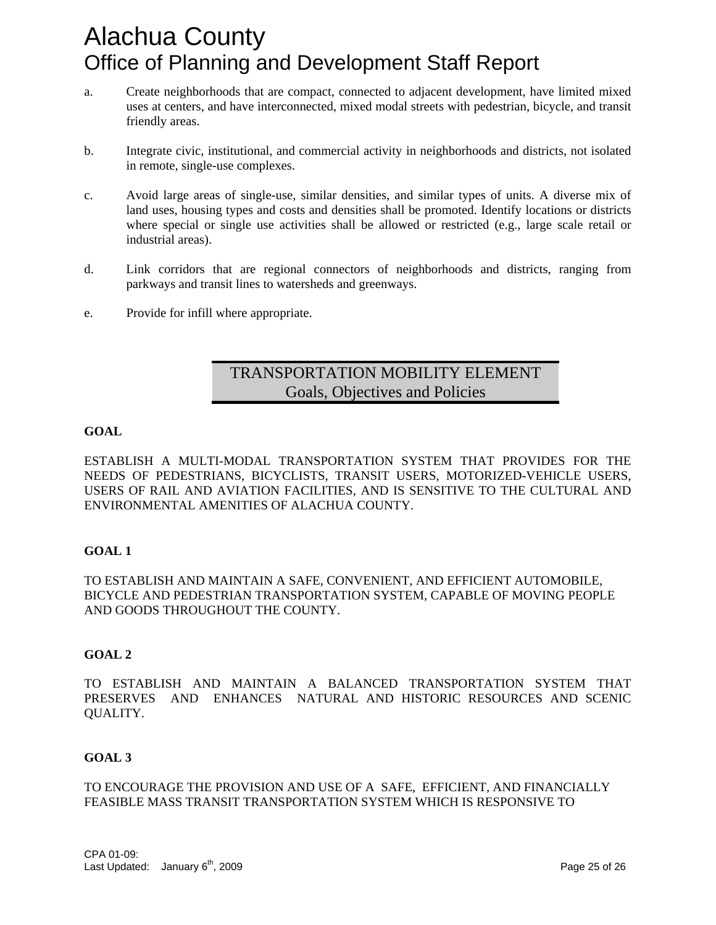- a. Create neighborhoods that are compact, connected to adjacent development, have limited mixed uses at centers, and have interconnected, mixed modal streets with pedestrian, bicycle, and transit friendly areas.
- b. Integrate civic, institutional, and commercial activity in neighborhoods and districts, not isolated in remote, single-use complexes.
- c. Avoid large areas of single-use, similar densities, and similar types of units. A diverse mix of land uses, housing types and costs and densities shall be promoted. Identify locations or districts where special or single use activities shall be allowed or restricted (e.g., large scale retail or industrial areas).
- d. Link corridors that are regional connectors of neighborhoods and districts, ranging from parkways and transit lines to watersheds and greenways.
- e. Provide for infill where appropriate.

### TRANSPORTATION MOBILITY ELEMENT Goals, Objectives and Policies

#### **GOAL**

ESTABLISH A MULTI-MODAL TRANSPORTATION SYSTEM THAT PROVIDES FOR THE NEEDS OF PEDESTRIANS, BICYCLISTS, TRANSIT USERS, MOTORIZED-VEHICLE USERS, USERS OF RAIL AND AVIATION FACILITIES, AND IS SENSITIVE TO THE CULTURAL AND ENVIRONMENTAL AMENITIES OF ALACHUA COUNTY.

#### **GOAL 1**

TO ESTABLISH AND MAINTAIN A SAFE, CONVENIENT, AND EFFICIENT AUTOMOBILE, BICYCLE AND PEDESTRIAN TRANSPORTATION SYSTEM, CAPABLE OF MOVING PEOPLE AND GOODS THROUGHOUT THE COUNTY.

#### **GOAL 2**

TO ESTABLISH AND MAINTAIN A BALANCED TRANSPORTATION SYSTEM THAT PRESERVES AND ENHANCES NATURAL AND HISTORIC RESOURCES AND SCENIC QUALITY.

### **GOAL 3**

TO ENCOURAGE THE PROVISION AND USE OF A SAFE, EFFICIENT, AND FINANCIALLY FEASIBLE MASS TRANSIT TRANSPORTATION SYSTEM WHICH IS RESPONSIVE TO